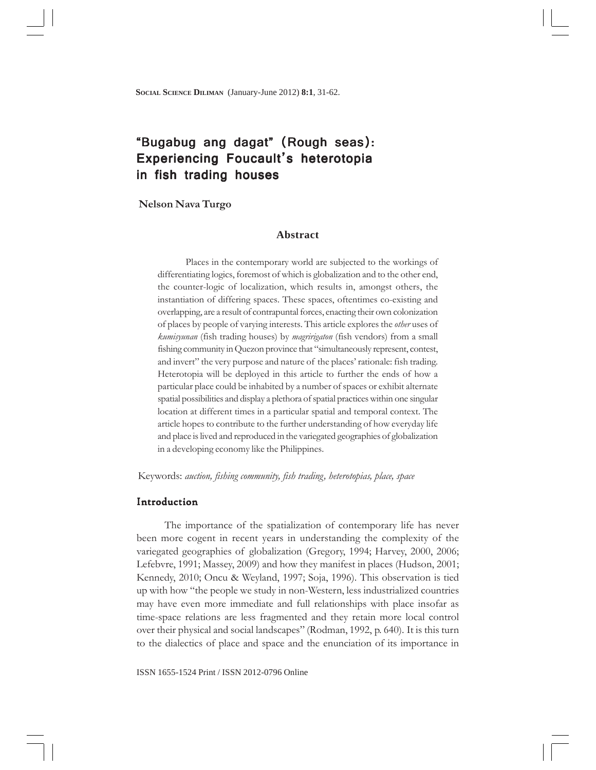**SOCIAL SCIENCE DILIMAN** (January-June 2012) **8:1**, 31-62.

# "Bugabug ang dagat" (Rough seas): Experiencing Foucault's heterotopia in fish trading houses

## **Nelson Nava Turgo**

# **Abstract**

Places in the contemporary world are subjected to the workings of differentiating logics, foremost of which is globalization and to the other end, the counter-logic of localization, which results in, amongst others, the instantiation of differing spaces. These spaces, oftentimes co-existing and overlapping, are a result of contrapuntal forces, enacting their own colonization of places by people of varying interests. This article explores the *other* uses of *kumisyunan* (fish trading houses) by *magririgaton* (fish vendors) from a small fishing community in Quezon province that "simultaneously represent, contest, and invert" the very purpose and nature of the places' rationale: fish trading. Heterotopia will be deployed in this article to further the ends of how a particular place could be inhabited by a number of spaces or exhibit alternate spatial possibilities and display a plethora of spatial practices within one singular location at different times in a particular spatial and temporal context. The article hopes to contribute to the further understanding of how everyday life and place is lived and reproduced in the variegated geographies of globalization in a developing economy like the Philippines.

Keywords: *auction, fishing community, fish trading, heterotopias, place, space*

#### Introduction

The importance of the spatialization of contemporary life has never been more cogent in recent years in understanding the complexity of the variegated geographies of globalization (Gregory, 1994; Harvey, 2000, 2006; Lefebvre, 1991; Massey, 2009) and how they manifest in places (Hudson, 2001; Kennedy, 2010; Oncu & Weyland, 1997; Soja, 1996). This observation is tied up with how "the people we study in non-Western, less industrialized countries may have even more immediate and full relationships with place insofar as time-space relations are less fragmented and they retain more local control over their physical and social landscapes" (Rodman, 1992, p. 640). It is this turn to the dialectics of place and space and the enunciation of its importance in

ISSN 1655-1524 Print / ISSN 2012-0796 Online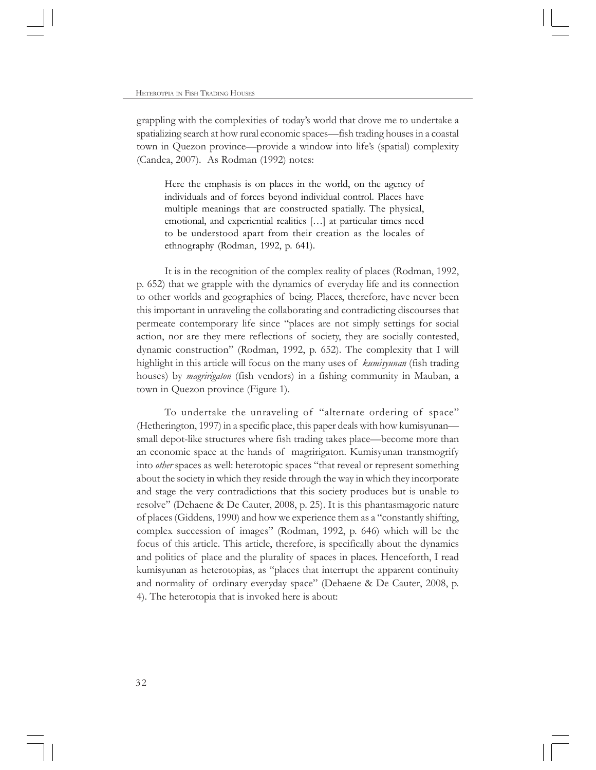grappling with the complexities of today's world that drove me to undertake a spatializing search at how rural economic spaces—fish trading houses in a coastal town in Quezon province—provide a window into life's (spatial) complexity (Candea, 2007). As Rodman (1992) notes:

Here the emphasis is on places in the world, on the agency of individuals and of forces beyond individual control. Places have multiple meanings that are constructed spatially. The physical, emotional, and experiential realities […] at particular times need to be understood apart from their creation as the locales of ethnography (Rodman, 1992, p. 641).

It is in the recognition of the complex reality of places (Rodman, 1992, p. 652) that we grapple with the dynamics of everyday life and its connection to other worlds and geographies of being. Places, therefore, have never been this important in unraveling the collaborating and contradicting discourses that permeate contemporary life since "places are not simply settings for social action, nor are they mere reflections of society, they are socially contested, dynamic construction" (Rodman, 1992, p. 652). The complexity that I will highlight in this article will focus on the many uses of *kumisyunan* (fish trading houses) by *magririgaton* (fish vendors) in a fishing community in Mauban, a town in Quezon province (Figure 1).

To undertake the unraveling of "alternate ordering of space" (Hetherington, 1997) in a specific place, this paper deals with how kumisyunan small depot-like structures where fish trading takes place—become more than an economic space at the hands of magririgaton. Kumisyunan transmogrify into *other* spaces as well: heterotopic spaces "that reveal or represent something about the society in which they reside through the way in which they incorporate and stage the very contradictions that this society produces but is unable to resolve" (Dehaene & De Cauter, 2008, p. 25). It is this phantasmagoric nature of places (Giddens, 1990) and how we experience them as a "constantly shifting, complex succession of images" (Rodman, 1992, p. 646) which will be the focus of this article. This article, therefore, is specifically about the dynamics and politics of place and the plurality of spaces in places. Henceforth, I read kumisyunan as heterotopias, as "places that interrupt the apparent continuity and normality of ordinary everyday space" (Dehaene & De Cauter, 2008, p. 4). The heterotopia that is invoked here is about: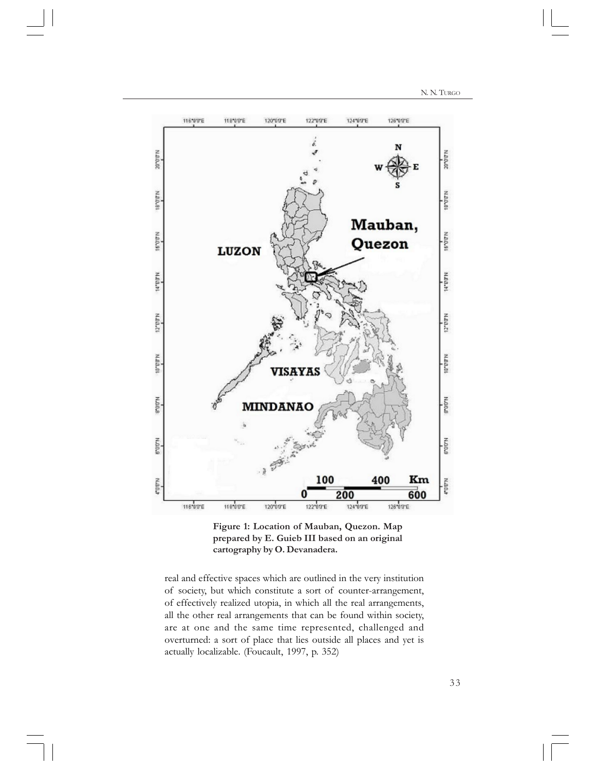N. N. TURGO



**Figure 1: Location of Mauban, Quezon. Map prepared by E. Guieb III based on an original cartography by O. Devanadera.**

real and effective spaces which are outlined in the very institution of society, but which constitute a sort of counter-arrangement, of effectively realized utopia, in which all the real arrangements, all the other real arrangements that can be found within society, are at one and the same time represented, challenged and overturned: a sort of place that lies outside all places and yet is actually localizable. (Foucault, 1997, p. 352)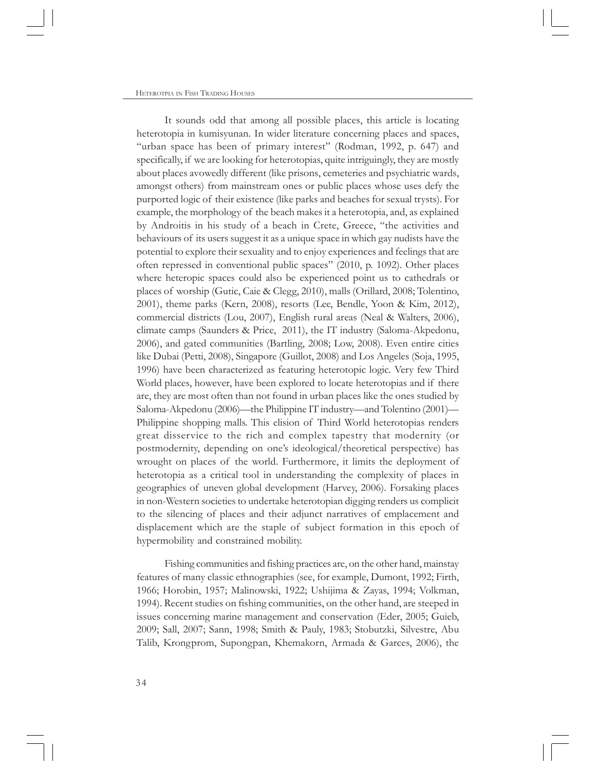It sounds odd that among all possible places, this article is locating heterotopia in kumisyunan. In wider literature concerning places and spaces, "urban space has been of primary interest" (Rodman, 1992, p. 647) and specifically, if we are looking for heterotopias, quite intriguingly, they are mostly about places avowedly different (like prisons, cemeteries and psychiatric wards, amongst others) from mainstream ones or public places whose uses defy the purported logic of their existence (like parks and beaches for sexual trysts). For example, the morphology of the beach makes it a heterotopia, and, as explained by Androitis in his study of a beach in Crete, Greece, "the activities and behaviours of its users suggest it as a unique space in which gay nudists have the potential to explore their sexuality and to enjoy experiences and feelings that are often repressed in conventional public spaces" (2010, p. 1092). Other places where heteropic spaces could also be experienced point us to cathedrals or places of worship (Gutic, Caie & Clegg, 2010), malls (Orillard, 2008; Tolentino, 2001), theme parks (Kern, 2008), resorts (Lee, Bendle, Yoon & Kim, 2012), commercial districts (Lou, 2007), English rural areas (Neal & Walters, 2006), climate camps (Saunders & Price, 2011), the IT industry (Saloma-Akpedonu, 2006), and gated communities (Bartling, 2008; Low, 2008). Even entire cities like Dubai (Petti, 2008), Singapore (Guillot, 2008) and Los Angeles (Soja, 1995, 1996) have been characterized as featuring heterotopic logic. Very few Third World places, however, have been explored to locate heterotopias and if there are, they are most often than not found in urban places like the ones studied by Saloma-Akpedonu (2006)—the Philippine IT industry—and Tolentino (2001)— Philippine shopping malls. This elision of Third World heterotopias renders great disservice to the rich and complex tapestry that modernity (or postmodernity, depending on one's ideological/theoretical perspective) has wrought on places of the world. Furthermore, it limits the deployment of heterotopia as a critical tool in understanding the complexity of places in geographies of uneven global development (Harvey, 2006). Forsaking places in non-Western societies to undertake heterotopian digging renders us complicit to the silencing of places and their adjunct narratives of emplacement and displacement which are the staple of subject formation in this epoch of hypermobility and constrained mobility.

Fishing communities and fishing practices are, on the other hand, mainstay features of many classic ethnographies (see, for example, Dumont, 1992; Firth, 1966; Horobin, 1957; Malinowski, 1922; Ushijima & Zayas, 1994; Volkman, 1994). Recent studies on fishing communities, on the other hand, are steeped in issues concerning marine management and conservation (Eder, 2005; Guieb, 2009; Sall, 2007; Sann, 1998; Smith & Pauly, 1983; Stobutzki, Silvestre, Abu Talib, Krongprom, Supongpan, Khemakorn, Armada & Garces, 2006), the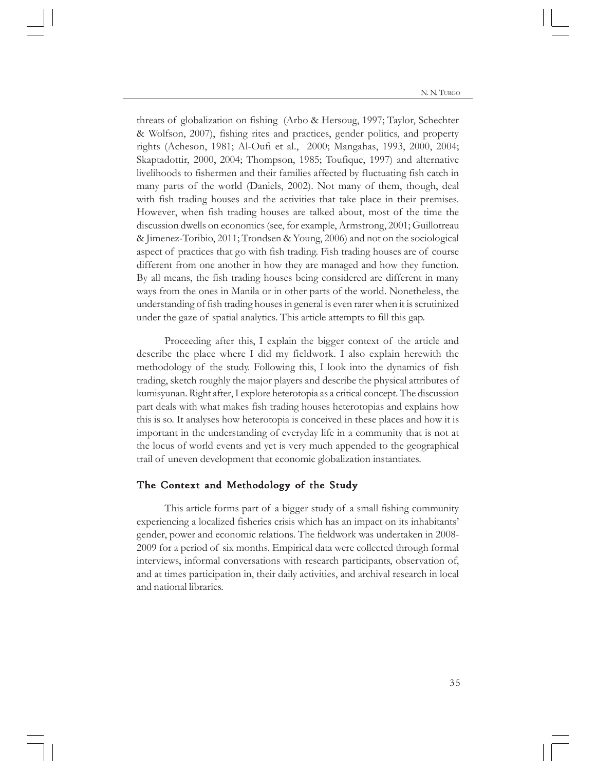threats of globalization on fishing (Arbo & Hersoug, 1997; Taylor, Schechter & Wolfson, 2007), fishing rites and practices, gender politics, and property rights (Acheson, 1981; Al-Oufi et al., 2000; Mangahas, 1993, 2000, 2004; Skaptadottir, 2000, 2004; Thompson, 1985; Toufique, 1997) and alternative livelihoods to fishermen and their families affected by fluctuating fish catch in many parts of the world (Daniels, 2002). Not many of them, though, deal with fish trading houses and the activities that take place in their premises. However, when fish trading houses are talked about, most of the time the discussion dwells on economics (see, for example, Armstrong, 2001; Guillotreau & Jimenez-Toribio, 2011; Trondsen & Young, 2006) and not on the sociological aspect of practices that go with fish trading. Fish trading houses are of course different from one another in how they are managed and how they function. By all means, the fish trading houses being considered are different in many ways from the ones in Manila or in other parts of the world. Nonetheless, the understanding of fish trading houses in general is even rarer when it is scrutinized under the gaze of spatial analytics. This article attempts to fill this gap.

Proceeding after this, I explain the bigger context of the article and describe the place where I did my fieldwork. I also explain herewith the methodology of the study. Following this, I look into the dynamics of fish trading, sketch roughly the major players and describe the physical attributes of kumisyunan. Right after, I explore heterotopia as a critical concept. The discussion part deals with what makes fish trading houses heterotopias and explains how this is so. It analyses how heterotopia is conceived in these places and how it is important in the understanding of everyday life in a community that is not at the locus of world events and yet is very much appended to the geographical trail of uneven development that economic globalization instantiates.

#### The Context and Methodology of the Study

This article forms part of a bigger study of a small fishing community experiencing a localized fisheries crisis which has an impact on its inhabitants' gender, power and economic relations. The fieldwork was undertaken in 2008- 2009 for a period of six months. Empirical data were collected through formal interviews, informal conversations with research participants, observation of, and at times participation in, their daily activities, and archival research in local and national libraries.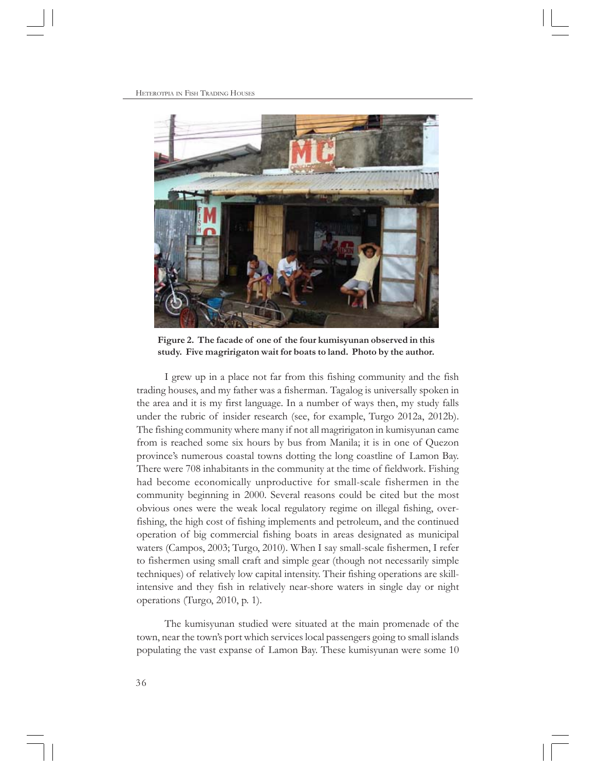

**Figure 2. The facade of one of the four kumisyunan observed in this study. Five magririgaton wait for boats to land. Photo by the author.**

I grew up in a place not far from this fishing community and the fish trading houses, and my father was a fisherman. Tagalog is universally spoken in the area and it is my first language. In a number of ways then, my study falls under the rubric of insider research (see, for example, Turgo 2012a, 2012b). The fishing community where many if not all magririgaton in kumisyunan came from is reached some six hours by bus from Manila; it is in one of Quezon province's numerous coastal towns dotting the long coastline of Lamon Bay. There were 708 inhabitants in the community at the time of fieldwork. Fishing had become economically unproductive for small-scale fishermen in the community beginning in 2000. Several reasons could be cited but the most obvious ones were the weak local regulatory regime on illegal fishing, overfishing, the high cost of fishing implements and petroleum, and the continued operation of big commercial fishing boats in areas designated as municipal waters (Campos, 2003; Turgo, 2010). When I say small-scale fishermen, I refer to fishermen using small craft and simple gear (though not necessarily simple techniques) of relatively low capital intensity. Their fishing operations are skillintensive and they fish in relatively near-shore waters in single day or night operations (Turgo, 2010, p. 1).

The kumisyunan studied were situated at the main promenade of the town, near the town's port which services local passengers going to small islands populating the vast expanse of Lamon Bay. These kumisyunan were some 10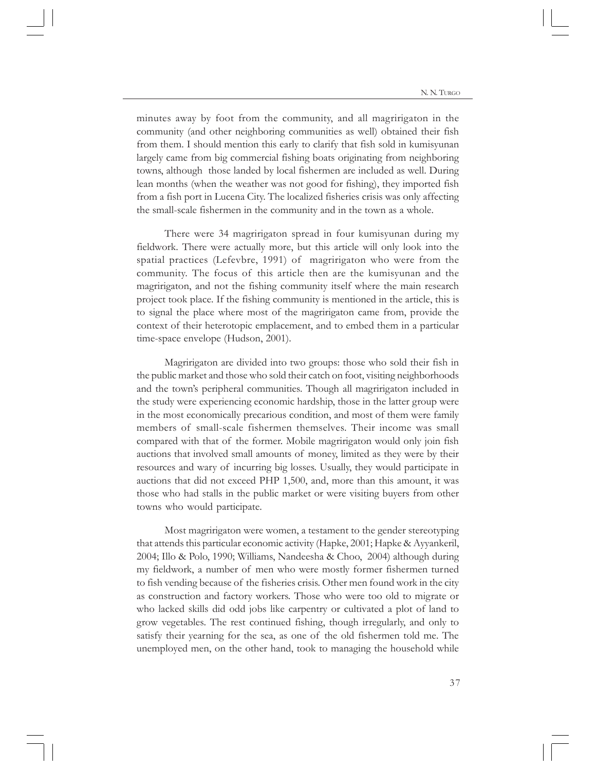minutes away by foot from the community, and all magririgaton in the community (and other neighboring communities as well) obtained their fish from them. I should mention this early to clarify that fish sold in kumisyunan largely came from big commercial fishing boats originating from neighboring towns, although those landed by local fishermen are included as well. During lean months (when the weather was not good for fishing), they imported fish from a fish port in Lucena City. The localized fisheries crisis was only affecting the small-scale fishermen in the community and in the town as a whole.

There were 34 magririgaton spread in four kumisyunan during my fieldwork. There were actually more, but this article will only look into the spatial practices (Lefevbre, 1991) of magririgaton who were from the community. The focus of this article then are the kumisyunan and the magririgaton, and not the fishing community itself where the main research project took place. If the fishing community is mentioned in the article, this is to signal the place where most of the magririgaton came from, provide the context of their heterotopic emplacement, and to embed them in a particular time-space envelope (Hudson, 2001).

Magririgaton are divided into two groups: those who sold their fish in the public market and those who sold their catch on foot, visiting neighborhoods and the town's peripheral communities. Though all magririgaton included in the study were experiencing economic hardship, those in the latter group were in the most economically precarious condition, and most of them were family members of small-scale fishermen themselves. Their income was small compared with that of the former. Mobile magririgaton would only join fish auctions that involved small amounts of money, limited as they were by their resources and wary of incurring big losses. Usually, they would participate in auctions that did not exceed PHP 1,500, and, more than this amount, it was those who had stalls in the public market or were visiting buyers from other towns who would participate.

Most magririgaton were women, a testament to the gender stereotyping that attends this particular economic activity (Hapke, 2001; Hapke & Ayyankeril, 2004; Illo & Polo, 1990; Williams, Nandeesha & Choo, 2004) although during my fieldwork, a number of men who were mostly former fishermen turned to fish vending because of the fisheries crisis. Other men found work in the city as construction and factory workers. Those who were too old to migrate or who lacked skills did odd jobs like carpentry or cultivated a plot of land to grow vegetables. The rest continued fishing, though irregularly, and only to satisfy their yearning for the sea, as one of the old fishermen told me. The unemployed men, on the other hand, took to managing the household while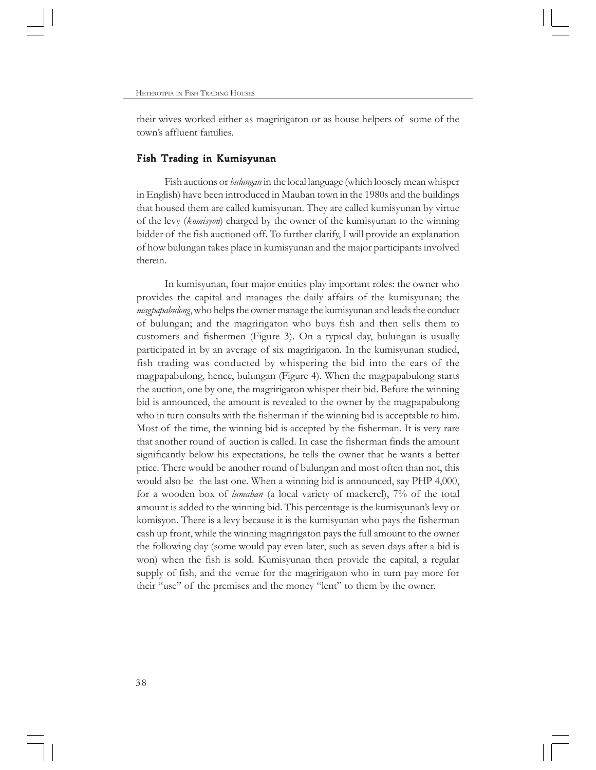their wives worked either as magririgaton or as house helpers of some of the town's affluent families.

## Fish Trading in Kumisyunan

Fish auctions or *bulungan* in the local language (which loosely mean whisper in English) have been introduced in Mauban town in the 1980s and the buildings that housed them are called kumisyunan. They are called kumisyunan by virtue of the levy (*komisyon*) charged by the owner of the kumisyunan to the winning bidder of the fish auctioned off. To further clarify, I will provide an explanation of how bulungan takes place in kumisyunan and the major participants involved therein.

In kumisyunan, four major entities play important roles: the owner who provides the capital and manages the daily affairs of the kumisyunan; the *magpapabulong*, who helps the owner manage the kumisyunan and leads the conduct of bulungan; and the magririgaton who buys fish and then sells them to customers and fishermen (Figure 3). On a typical day, bulungan is usually participated in by an average of six magririgaton. In the kumisyunan studied, fish trading was conducted by whispering the bid into the ears of the magpapabulong, hence, bulungan (Figure 4). When the magpapabulong starts the auction, one by one, the magririgaton whisper their bid. Before the winning bid is announced, the amount is revealed to the owner by the magpapabulong who in turn consults with the fisherman if the winning bid is acceptable to him. Most of the time, the winning bid is accepted by the fisherman. It is very rare that another round of auction is called. In case the fisherman finds the amount significantly below his expectations, he tells the owner that he wants a better price. There would be another round of bulungan and most often than not, this would also be the last one. When a winning bid is announced, say PHP 4,000, for a wooden box of *lumahan* (a local variety of mackerel), 7% of the total amount is added to the winning bid. This percentage is the kumisyunan's levy or komisyon. There is a levy because it is the kumisyunan who pays the fisherman cash up front, while the winning magririgaton pays the full amount to the owner the following day (some would pay even later, such as seven days after a bid is won) when the fish is sold. Kumisyunan then provide the capital, a regular supply of fish, and the venue for the magririgaton who in turn pay more for their "use" of the premises and the money "lent" to them by the owner.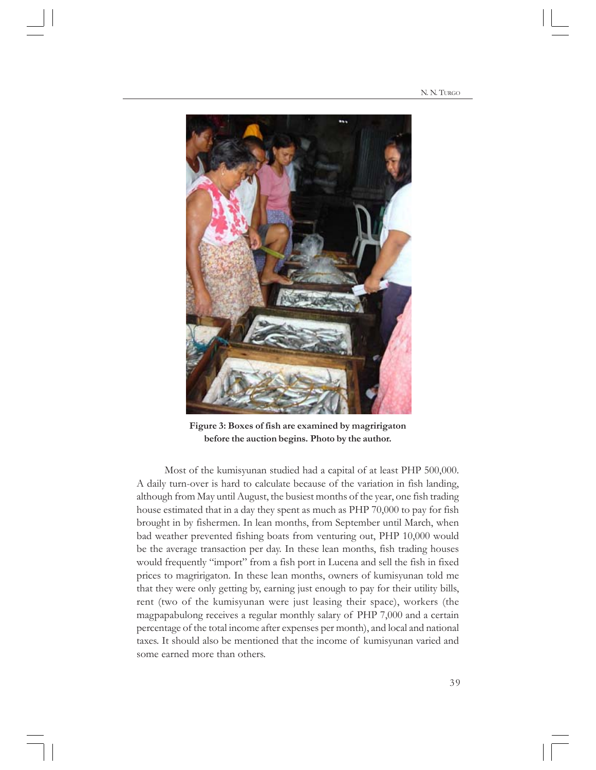

**Figure 3: Boxes of fish are examined by magririgaton before the auction begins. Photo by the author.**

Most of the kumisyunan studied had a capital of at least PHP 500,000. A daily turn-over is hard to calculate because of the variation in fish landing, although from May until August, the busiest months of the year, one fish trading house estimated that in a day they spent as much as PHP 70,000 to pay for fish brought in by fishermen. In lean months, from September until March, when bad weather prevented fishing boats from venturing out, PHP 10,000 would be the average transaction per day. In these lean months, fish trading houses would frequently "import" from a fish port in Lucena and sell the fish in fixed prices to magririgaton. In these lean months, owners of kumisyunan told me that they were only getting by, earning just enough to pay for their utility bills, rent (two of the kumisyunan were just leasing their space), workers (the magpapabulong receives a regular monthly salary of PHP 7,000 and a certain percentage of the total income after expenses per month), and local and national taxes. It should also be mentioned that the income of kumisyunan varied and some earned more than others.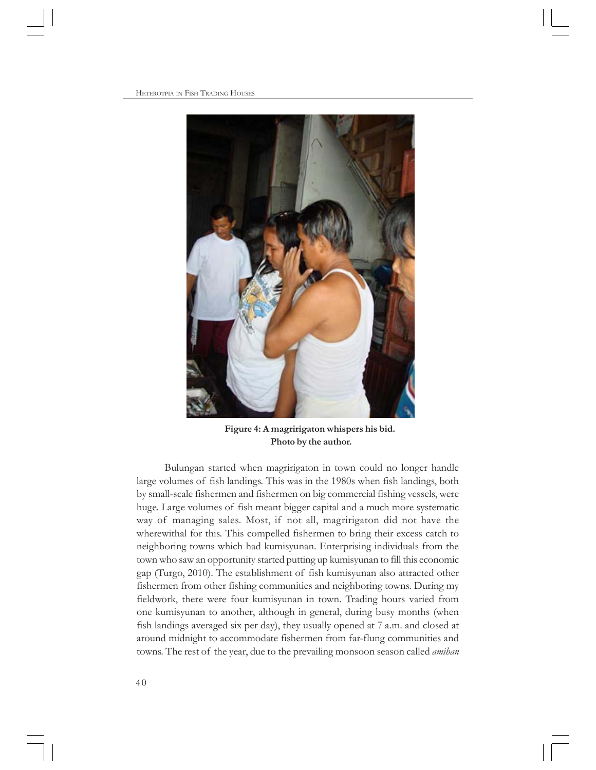HETEROTPIA IN FISH TRADING HOUSES



**Figure 4: A magririgaton whispers his bid. Photo by the author.**

Bulungan started when magririgaton in town could no longer handle large volumes of fish landings. This was in the 1980s when fish landings, both by small-scale fishermen and fishermen on big commercial fishing vessels, were huge. Large volumes of fish meant bigger capital and a much more systematic way of managing sales. Most, if not all, magririgaton did not have the wherewithal for this. This compelled fishermen to bring their excess catch to neighboring towns which had kumisyunan. Enterprising individuals from the town who saw an opportunity started putting up kumisyunan to fill this economic gap (Turgo, 2010). The establishment of fish kumisyunan also attracted other fishermen from other fishing communities and neighboring towns. During my fieldwork, there were four kumisyunan in town. Trading hours varied from one kumisyunan to another, although in general, during busy months (when fish landings averaged six per day), they usually opened at 7 a.m. and closed at around midnight to accommodate fishermen from far-flung communities and towns. The rest of the year, due to the prevailing monsoon season called *amihan*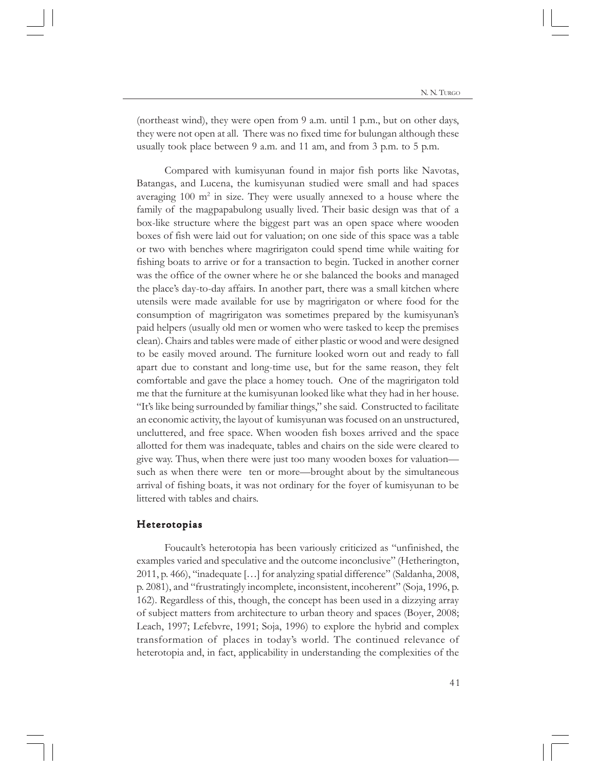(northeast wind), they were open from 9 a.m. until 1 p.m., but on other days, they were not open at all. There was no fixed time for bulungan although these usually took place between 9 a.m. and 11 am, and from 3 p.m. to 5 p.m.

Compared with kumisyunan found in major fish ports like Navotas, Batangas, and Lucena, the kumisyunan studied were small and had spaces averaging 100 m<sup>2</sup> in size. They were usually annexed to a house where the family of the magpapabulong usually lived. Their basic design was that of a box-like structure where the biggest part was an open space where wooden boxes of fish were laid out for valuation; on one side of this space was a table or two with benches where magririgaton could spend time while waiting for fishing boats to arrive or for a transaction to begin. Tucked in another corner was the office of the owner where he or she balanced the books and managed the place's day-to-day affairs. In another part, there was a small kitchen where utensils were made available for use by magririgaton or where food for the consumption of magririgaton was sometimes prepared by the kumisyunan's paid helpers (usually old men or women who were tasked to keep the premises clean). Chairs and tables were made of either plastic or wood and were designed to be easily moved around. The furniture looked worn out and ready to fall apart due to constant and long-time use, but for the same reason, they felt comfortable and gave the place a homey touch. One of the magririgaton told me that the furniture at the kumisyunan looked like what they had in her house. "It's like being surrounded by familiar things," she said. Constructed to facilitate an economic activity, the layout of kumisyunan was focused on an unstructured, uncluttered, and free space. When wooden fish boxes arrived and the space allotted for them was inadequate, tables and chairs on the side were cleared to give way. Thus, when there were just too many wooden boxes for valuation such as when there were ten or more—brought about by the simultaneous arrival of fishing boats, it was not ordinary for the foyer of kumisyunan to be littered with tables and chairs.

## Heterotopias

Foucault's heterotopia has been variously criticized as "unfinished, the examples varied and speculative and the outcome inconclusive" (Hetherington, 2011, p. 466), "inadequate […] for analyzing spatial difference" (Saldanha, 2008, p. 2081), and "frustratingly incomplete, inconsistent, incoherent" (Soja, 1996, p. 162). Regardless of this, though, the concept has been used in a dizzying array of subject matters from architecture to urban theory and spaces (Boyer, 2008; Leach, 1997; Lefebvre, 1991; Soja, 1996) to explore the hybrid and complex transformation of places in today's world. The continued relevance of heterotopia and, in fact, applicability in understanding the complexities of the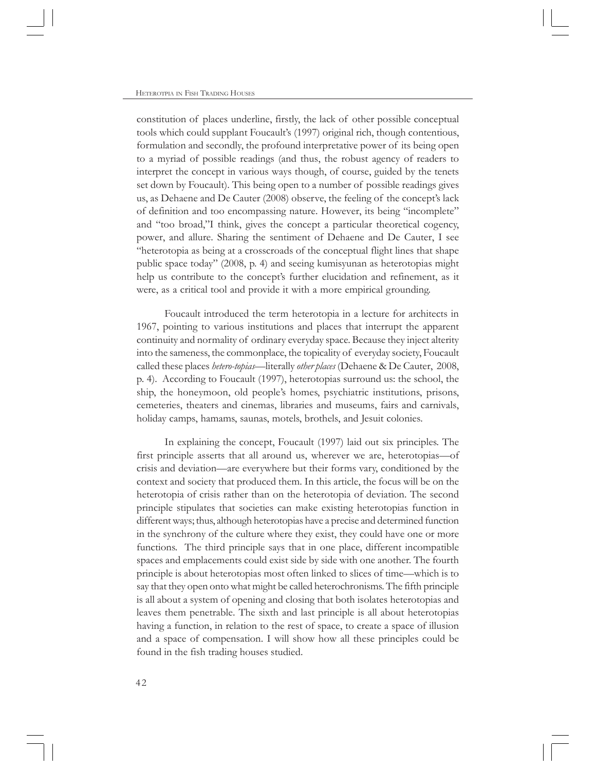constitution of places underline, firstly, the lack of other possible conceptual tools which could supplant Foucault's (1997) original rich, though contentious, formulation and secondly, the profound interpretative power of its being open to a myriad of possible readings (and thus, the robust agency of readers to interpret the concept in various ways though, of course, guided by the tenets set down by Foucault). This being open to a number of possible readings gives us, as Dehaene and De Cauter (2008) observe, the feeling of the concept's lack of definition and too encompassing nature. However, its being "incomplete" and "too broad,"I think, gives the concept a particular theoretical cogency, power, and allure. Sharing the sentiment of Dehaene and De Cauter, I see "heterotopia as being at a crosscroads of the conceptual flight lines that shape public space today" (2008, p. 4) and seeing kumisyunan as heterotopias might help us contribute to the concept's further elucidation and refinement, as it were, as a critical tool and provide it with a more empirical grounding.

Foucault introduced the term heterotopia in a lecture for architects in 1967, pointing to various institutions and places that interrupt the apparent continuity and normality of ordinary everyday space. Because they inject alterity into the sameness, the commonplace, the topicality of everyday society, Foucault called these places *hetero-topias*—literally *other places* (Dehaene & De Cauter, 2008, p. 4). According to Foucault (1997), heterotopias surround us: the school, the ship, the honeymoon, old people's homes, psychiatric institutions, prisons, cemeteries, theaters and cinemas, libraries and museums, fairs and carnivals, holiday camps, hamams, saunas, motels, brothels, and Jesuit colonies.

In explaining the concept, Foucault (1997) laid out six principles. The first principle asserts that all around us, wherever we are, heterotopias—of crisis and deviation—are everywhere but their forms vary, conditioned by the context and society that produced them. In this article, the focus will be on the heterotopia of crisis rather than on the heterotopia of deviation. The second principle stipulates that societies can make existing heterotopias function in different ways; thus, although heterotopias have a precise and determined function in the synchrony of the culture where they exist, they could have one or more functions. The third principle says that in one place, different incompatible spaces and emplacements could exist side by side with one another. The fourth principle is about heterotopias most often linked to slices of time—which is to say that they open onto what might be called heterochronisms. The fifth principle is all about a system of opening and closing that both isolates heterotopias and leaves them penetrable. The sixth and last principle is all about heterotopias having a function, in relation to the rest of space, to create a space of illusion and a space of compensation. I will show how all these principles could be found in the fish trading houses studied.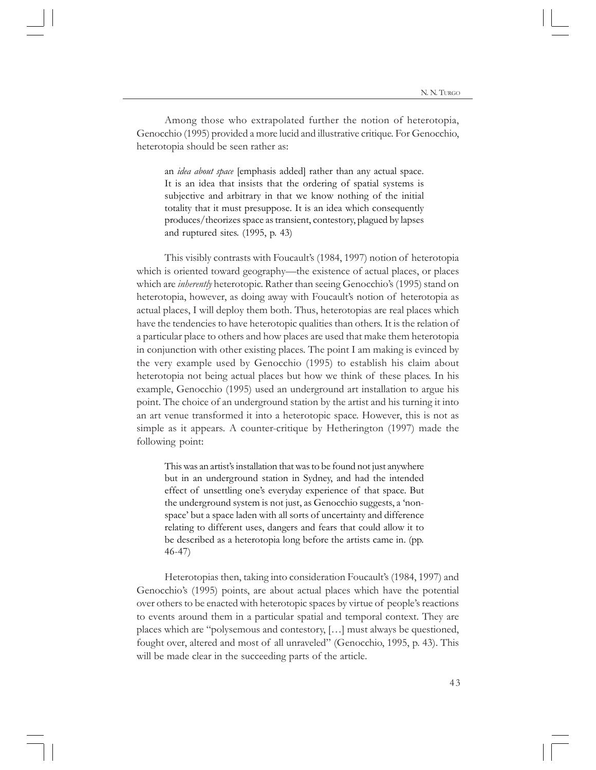Among those who extrapolated further the notion of heterotopia, Genocchio (1995) provided a more lucid and illustrative critique. For Genocchio, heterotopia should be seen rather as:

an *idea about space* [emphasis added] rather than any actual space. It is an idea that insists that the ordering of spatial systems is subjective and arbitrary in that we know nothing of the initial totality that it must presuppose. It is an idea which consequently produces/theorizes space as transient, contestory, plagued by lapses and ruptured sites. (1995, p. 43)

This visibly contrasts with Foucault's (1984, 1997) notion of heterotopia which is oriented toward geography—the existence of actual places, or places which are *inherently* heterotopic. Rather than seeing Genocchio's (1995) stand on heterotopia, however, as doing away with Foucault's notion of heterotopia as actual places, I will deploy them both. Thus, heterotopias are real places which have the tendencies to have heterotopic qualities than others. It is the relation of a particular place to others and how places are used that make them heterotopia in conjunction with other existing places. The point I am making is evinced by the very example used by Genocchio (1995) to establish his claim about heterotopia not being actual places but how we think of these places. In his example, Genocchio (1995) used an underground art installation to argue his point. The choice of an underground station by the artist and his turning it into an art venue transformed it into a heterotopic space. However, this is not as simple as it appears. A counter-critique by Hetherington (1997) made the following point:

This was an artist's installation that was to be found not just anywhere but in an underground station in Sydney, and had the intended effect of unsettling one's everyday experience of that space. But the underground system is not just, as Genocchio suggests, a 'nonspace' but a space laden with all sorts of uncertainty and difference relating to different uses, dangers and fears that could allow it to be described as a heterotopia long before the artists came in. (pp. 46-47)

Heterotopias then, taking into consideration Foucault's (1984, 1997) and Genocchio's (1995) points, are about actual places which have the potential over others to be enacted with heterotopic spaces by virtue of people's reactions to events around them in a particular spatial and temporal context. They are places which are "polysemous and contestory, […] must always be questioned, fought over, altered and most of all unraveled" (Genocchio, 1995, p. 43). This will be made clear in the succeeding parts of the article.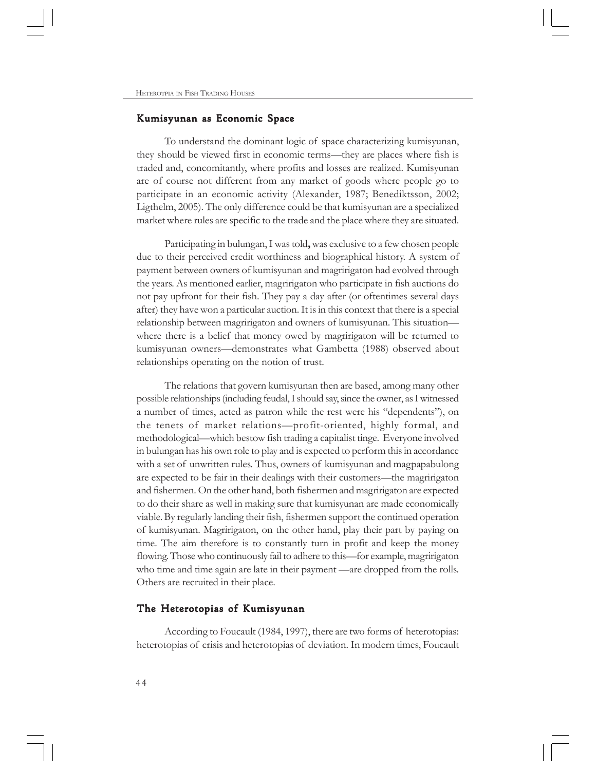## Kumisyunan as Economic Space

To understand the dominant logic of space characterizing kumisyunan, they should be viewed first in economic terms—they are places where fish is traded and, concomitantly, where profits and losses are realized. Kumisyunan are of course not different from any market of goods where people go to participate in an economic activity (Alexander, 1987; Benediktsson, 2002; Ligthelm, 2005). The only difference could be that kumisyunan are a specialized market where rules are specific to the trade and the place where they are situated.

Participating in bulungan, I was told**,** was exclusive to a few chosen people due to their perceived credit worthiness and biographical history. A system of payment between owners of kumisyunan and magririgaton had evolved through the years. As mentioned earlier, magririgaton who participate in fish auctions do not pay upfront for their fish. They pay a day after (or oftentimes several days after) they have won a particular auction. It is in this context that there is a special relationship between magririgaton and owners of kumisyunan. This situation where there is a belief that money owed by magririgaton will be returned to kumisyunan owners—demonstrates what Gambetta (1988) observed about relationships operating on the notion of trust.

The relations that govern kumisyunan then are based, among many other possible relationships (including feudal, I should say, since the owner, as I witnessed a number of times, acted as patron while the rest were his "dependents"), on the tenets of market relations—profit-oriented, highly formal, and methodological—which bestow fish trading a capitalist tinge. Everyone involved in bulungan has his own role to play and is expected to perform this in accordance with a set of unwritten rules. Thus, owners of kumisyunan and magpapabulong are expected to be fair in their dealings with their customers—the magririgaton and fishermen. On the other hand, both fishermen and magririgaton are expected to do their share as well in making sure that kumisyunan are made economically viable. By regularly landing their fish, fishermen support the continued operation of kumisyunan. Magririgaton, on the other hand, play their part by paying on time. The aim therefore is to constantly turn in profit and keep the money flowing. Those who continuously fail to adhere to this—for example, magririgaton who time and time again are late in their payment —are dropped from the rolls. Others are recruited in their place.

## The Heterotopias of Kumisyunan

According to Foucault (1984, 1997), there are two forms of heterotopias: heterotopias of crisis and heterotopias of deviation. In modern times, Foucault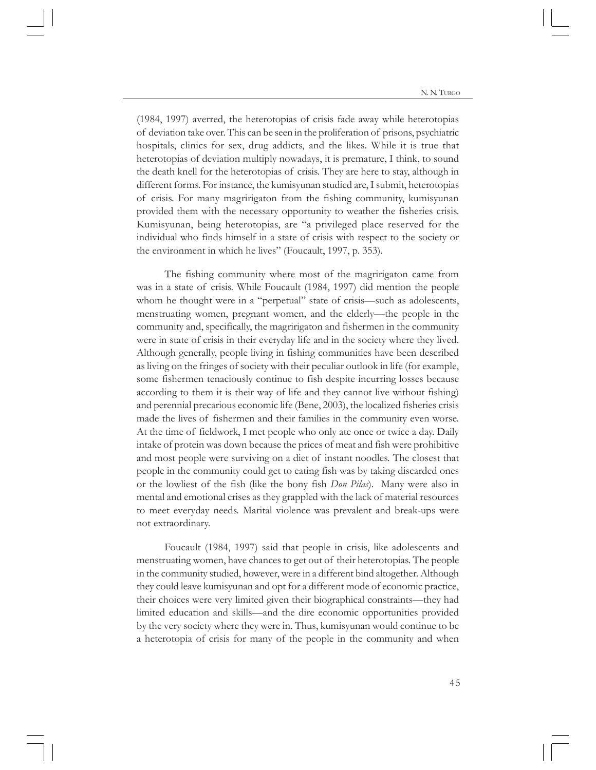(1984, 1997) averred, the heterotopias of crisis fade away while heterotopias of deviation take over. This can be seen in the proliferation of prisons, psychiatric hospitals, clinics for sex, drug addicts, and the likes. While it is true that heterotopias of deviation multiply nowadays, it is premature, I think, to sound the death knell for the heterotopias of crisis. They are here to stay, although in different forms. For instance, the kumisyunan studied are, I submit, heterotopias of crisis. For many magririgaton from the fishing community, kumisyunan provided them with the necessary opportunity to weather the fisheries crisis. Kumisyunan, being heterotopias, are "a privileged place reserved for the individual who finds himself in a state of crisis with respect to the society or the environment in which he lives" (Foucault, 1997, p. 353).

The fishing community where most of the magririgaton came from was in a state of crisis. While Foucault (1984, 1997) did mention the people whom he thought were in a "perpetual" state of crisis—such as adolescents, menstruating women, pregnant women, and the elderly—the people in the community and, specifically, the magririgaton and fishermen in the community were in state of crisis in their everyday life and in the society where they lived. Although generally, people living in fishing communities have been described as living on the fringes of society with their peculiar outlook in life (for example, some fishermen tenaciously continue to fish despite incurring losses because according to them it is their way of life and they cannot live without fishing) and perennial precarious economic life (Bene, 2003), the localized fisheries crisis made the lives of fishermen and their families in the community even worse. At the time of fieldwork, I met people who only ate once or twice a day. Daily intake of protein was down because the prices of meat and fish were prohibitive and most people were surviving on a diet of instant noodles. The closest that people in the community could get to eating fish was by taking discarded ones or the lowliest of the fish (like the bony fish *Don Pilas*). Many were also in mental and emotional crises as they grappled with the lack of material resources to meet everyday needs. Marital violence was prevalent and break-ups were not extraordinary.

Foucault (1984, 1997) said that people in crisis, like adolescents and menstruating women, have chances to get out of their heterotopias. The people in the community studied, however, were in a different bind altogether. Although they could leave kumisyunan and opt for a different mode of economic practice, their choices were very limited given their biographical constraints—they had limited education and skills—and the dire economic opportunities provided by the very society where they were in. Thus, kumisyunan would continue to be a heterotopia of crisis for many of the people in the community and when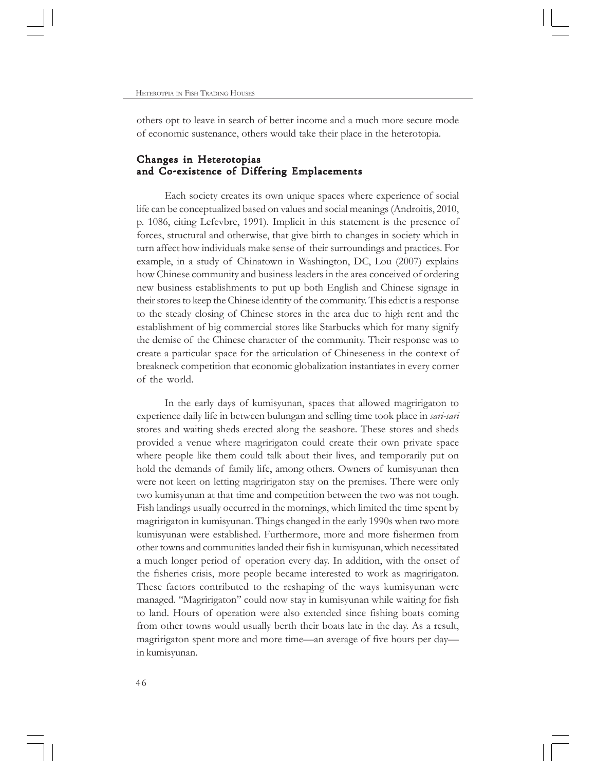others opt to leave in search of better income and a much more secure mode of economic sustenance, others would take their place in the heterotopia.

# Changes in Heterotopias and Co-existence of Differing Emplacements

Each society creates its own unique spaces where experience of social life can be conceptualized based on values and social meanings (Androitis, 2010, p. 1086, citing Lefevbre, 1991). Implicit in this statement is the presence of forces, structural and otherwise, that give birth to changes in society which in turn affect how individuals make sense of their surroundings and practices. For example, in a study of Chinatown in Washington, DC, Lou (2007) explains how Chinese community and business leaders in the area conceived of ordering new business establishments to put up both English and Chinese signage in their stores to keep the Chinese identity of the community. This edict is a response to the steady closing of Chinese stores in the area due to high rent and the establishment of big commercial stores like Starbucks which for many signify the demise of the Chinese character of the community. Their response was to create a particular space for the articulation of Chineseness in the context of breakneck competition that economic globalization instantiates in every corner of the world.

In the early days of kumisyunan, spaces that allowed magririgaton to experience daily life in between bulungan and selling time took place in *sari-sari* stores and waiting sheds erected along the seashore. These stores and sheds provided a venue where magririgaton could create their own private space where people like them could talk about their lives, and temporarily put on hold the demands of family life, among others. Owners of kumisyunan then were not keen on letting magririgaton stay on the premises. There were only two kumisyunan at that time and competition between the two was not tough. Fish landings usually occurred in the mornings, which limited the time spent by magririgaton in kumisyunan. Things changed in the early 1990s when two more kumisyunan were established. Furthermore, more and more fishermen from other towns and communities landed their fish in kumisyunan, which necessitated a much longer period of operation every day. In addition, with the onset of the fisheries crisis, more people became interested to work as magririgaton. These factors contributed to the reshaping of the ways kumisyunan were managed. "Magririgaton" could now stay in kumisyunan while waiting for fish to land. Hours of operation were also extended since fishing boats coming from other towns would usually berth their boats late in the day. As a result, magririgaton spent more and more time—an average of five hours per day in kumisyunan.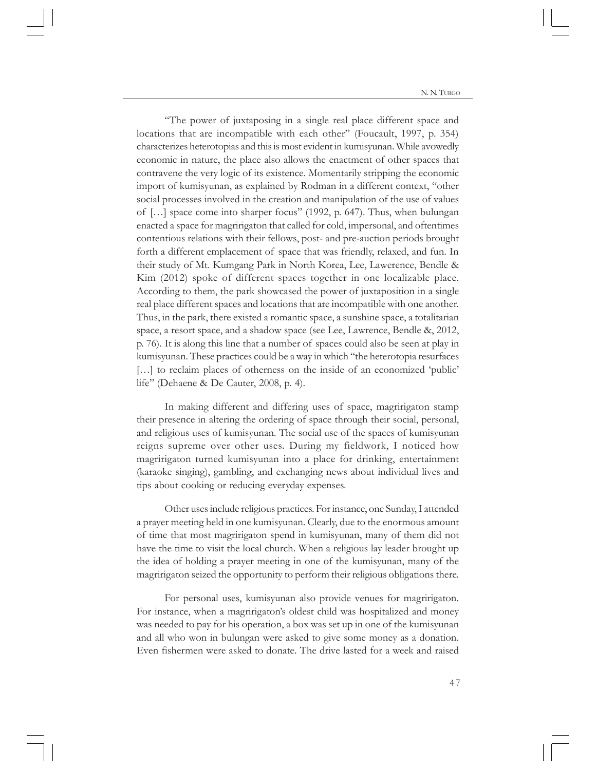"The power of juxtaposing in a single real place different space and locations that are incompatible with each other" (Foucault, 1997, p. 354) characterizes heterotopias and this is most evident in kumisyunan. While avowedly economic in nature, the place also allows the enactment of other spaces that contravene the very logic of its existence. Momentarily stripping the economic import of kumisyunan, as explained by Rodman in a different context, "other social processes involved in the creation and manipulation of the use of values of […] space come into sharper focus" (1992, p. 647). Thus, when bulungan enacted a space for magririgaton that called for cold, impersonal, and oftentimes contentious relations with their fellows, post- and pre-auction periods brought forth a different emplacement of space that was friendly, relaxed, and fun. In their study of Mt. Kumgang Park in North Korea, Lee, Lawerence, Bendle & Kim (2012) spoke of different spaces together in one localizable place. According to them, the park showcased the power of juxtaposition in a single real place different spaces and locations that are incompatible with one another. Thus, in the park, there existed a romantic space, a sunshine space, a totalitarian space, a resort space, and a shadow space (see Lee, Lawrence, Bendle &, 2012, p. 76). It is along this line that a number of spaces could also be seen at play in kumisyunan. These practices could be a way in which "the heterotopia resurfaces [...] to reclaim places of otherness on the inside of an economized 'public' life" (Dehaene & De Cauter, 2008, p. 4).

In making different and differing uses of space, magririgaton stamp their presence in altering the ordering of space through their social, personal, and religious uses of kumisyunan. The social use of the spaces of kumisyunan reigns supreme over other uses. During my fieldwork, I noticed how magririgaton turned kumisyunan into a place for drinking, entertainment (karaoke singing), gambling, and exchanging news about individual lives and tips about cooking or reducing everyday expenses.

Other uses include religious practices. For instance, one Sunday, I attended a prayer meeting held in one kumisyunan. Clearly, due to the enormous amount of time that most magririgaton spend in kumisyunan, many of them did not have the time to visit the local church. When a religious lay leader brought up the idea of holding a prayer meeting in one of the kumisyunan, many of the magririgaton seized the opportunity to perform their religious obligations there.

For personal uses, kumisyunan also provide venues for magririgaton. For instance, when a magririgaton's oldest child was hospitalized and money was needed to pay for his operation, a box was set up in one of the kumisyunan and all who won in bulungan were asked to give some money as a donation. Even fishermen were asked to donate. The drive lasted for a week and raised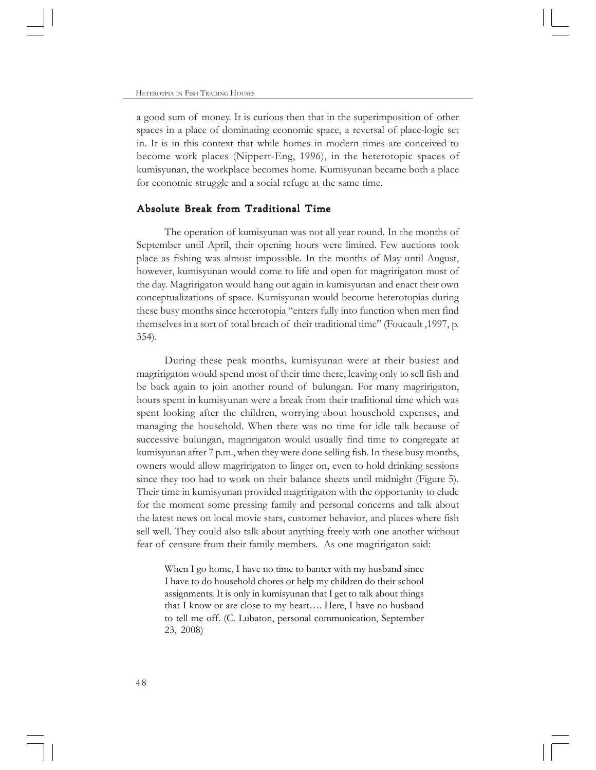a good sum of money. It is curious then that in the superimposition of other spaces in a place of dominating economic space, a reversal of place-logic set in. It is in this context that while homes in modern times are conceived to become work places (Nippert-Eng, 1996), in the heterotopic spaces of kumisyunan, the workplace becomes home. Kumisyunan became both a place for economic struggle and a social refuge at the same time.

# Absolute Break from Traditional Time

The operation of kumisyunan was not all year round. In the months of September until April, their opening hours were limited. Few auctions took place as fishing was almost impossible. In the months of May until August, however, kumisyunan would come to life and open for magririgaton most of the day. Magririgaton would hang out again in kumisyunan and enact their own conceptualizations of space. Kumisyunan would become heterotopias during these busy months since heterotopia "enters fully into function when men find themselves in a sort of total breach of their traditional time" (Foucault ,1997, p. 354).

During these peak months, kumisyunan were at their busiest and magririgaton would spend most of their time there, leaving only to sell fish and be back again to join another round of bulungan. For many magririgaton, hours spent in kumisyunan were a break from their traditional time which was spent looking after the children, worrying about household expenses, and managing the household. When there was no time for idle talk because of successive bulungan, magririgaton would usually find time to congregate at kumisyunan after 7 p.m., when they were done selling fish. In these busy months, owners would allow magririgaton to linger on, even to hold drinking sessions since they too had to work on their balance sheets until midnight (Figure 5). Their time in kumisyunan provided magririgaton with the opportunity to elude for the moment some pressing family and personal concerns and talk about the latest news on local movie stars, customer behavior, and places where fish sell well. They could also talk about anything freely with one another without fear of censure from their family members. As one magririgaton said:

When I go home, I have no time to banter with my husband since I have to do household chores or help my children do their school assignments. It is only in kumisyunan that I get to talk about things that I know or are close to my heart…. Here, I have no husband to tell me off. (C. Lubaton, personal communication, September 23, 2008)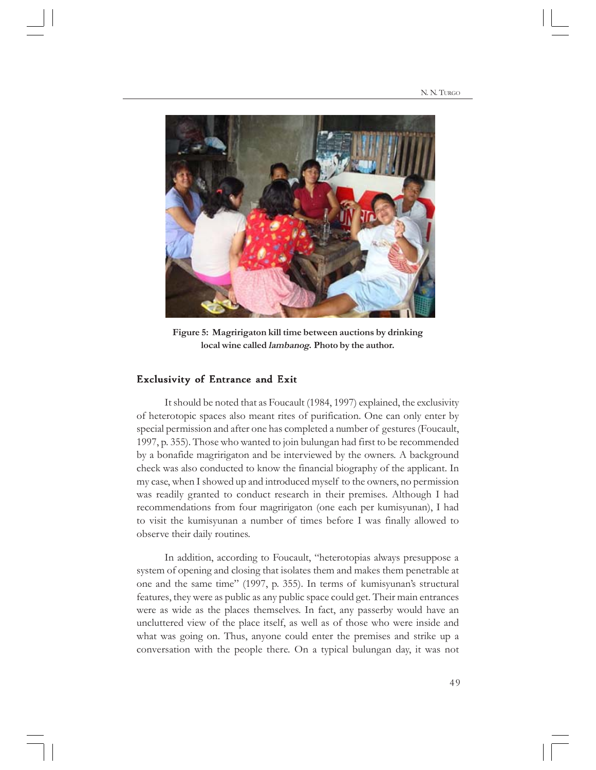

**Figure 5: Magririgaton kill time between auctions by drinking local wine called lambanog. Photo by the author.**

## Exclusivity of Entrance and Exit

It should be noted that as Foucault (1984, 1997) explained, the exclusivity of heterotopic spaces also meant rites of purification. One can only enter by special permission and after one has completed a number of gestures (Foucault, 1997, p. 355). Those who wanted to join bulungan had first to be recommended by a bonafide magririgaton and be interviewed by the owners. A background check was also conducted to know the financial biography of the applicant. In my case, when I showed up and introduced myself to the owners, no permission was readily granted to conduct research in their premises. Although I had recommendations from four magririgaton (one each per kumisyunan), I had to visit the kumisyunan a number of times before I was finally allowed to observe their daily routines.

In addition, according to Foucault, "heterotopias always presuppose a system of opening and closing that isolates them and makes them penetrable at one and the same time" (1997, p. 355). In terms of kumisyunan's structural features, they were as public as any public space could get. Their main entrances were as wide as the places themselves. In fact, any passerby would have an uncluttered view of the place itself, as well as of those who were inside and what was going on. Thus, anyone could enter the premises and strike up a conversation with the people there. On a typical bulungan day, it was not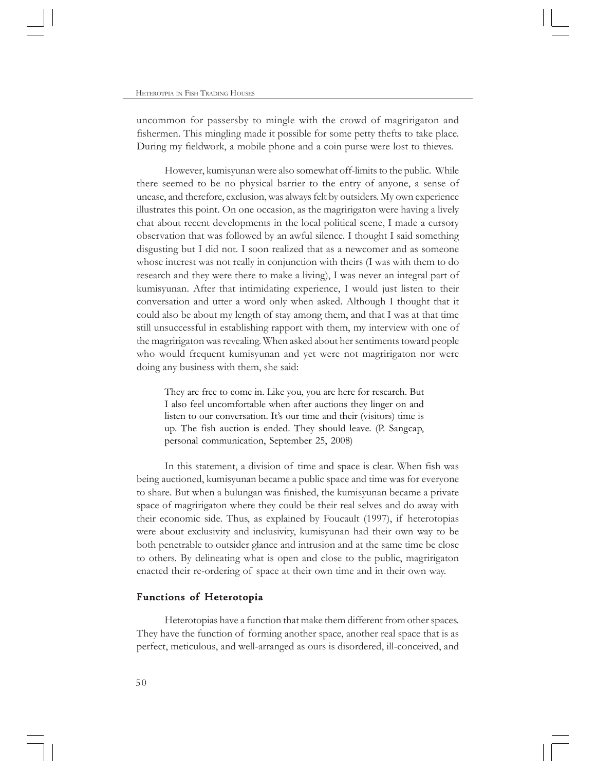uncommon for passersby to mingle with the crowd of magririgaton and fishermen. This mingling made it possible for some petty thefts to take place. During my fieldwork, a mobile phone and a coin purse were lost to thieves.

However, kumisyunan were also somewhat off-limits to the public. While there seemed to be no physical barrier to the entry of anyone, a sense of unease, and therefore, exclusion, was always felt by outsiders. My own experience illustrates this point. On one occasion, as the magririgaton were having a lively chat about recent developments in the local political scene, I made a cursory observation that was followed by an awful silence. I thought I said something disgusting but I did not. I soon realized that as a newcomer and as someone whose interest was not really in conjunction with theirs (I was with them to do research and they were there to make a living), I was never an integral part of kumisyunan. After that intimidating experience, I would just listen to their conversation and utter a word only when asked. Although I thought that it could also be about my length of stay among them, and that I was at that time still unsuccessful in establishing rapport with them, my interview with one of the magririgaton was revealing. When asked about her sentiments toward people who would frequent kumisyunan and yet were not magririgaton nor were doing any business with them, she said:

They are free to come in. Like you, you are here for research. But I also feel uncomfortable when after auctions they linger on and listen to our conversation. It's our time and their (visitors) time is up. The fish auction is ended. They should leave. (P. Sangcap, personal communication, September 25, 2008)

In this statement, a division of time and space is clear. When fish was being auctioned, kumisyunan became a public space and time was for everyone to share. But when a bulungan was finished, the kumisyunan became a private space of magririgaton where they could be their real selves and do away with their economic side. Thus, as explained by Foucault (1997), if heterotopias were about exclusivity and inclusivity, kumisyunan had their own way to be both penetrable to outsider glance and intrusion and at the same time be close to others. By delineating what is open and close to the public, magririgaton enacted their re-ordering of space at their own time and in their own way.

#### Functions of Heterotopia

Heterotopias have a function that make them different from other spaces. They have the function of forming another space, another real space that is as perfect, meticulous, and well-arranged as ours is disordered, ill-conceived, and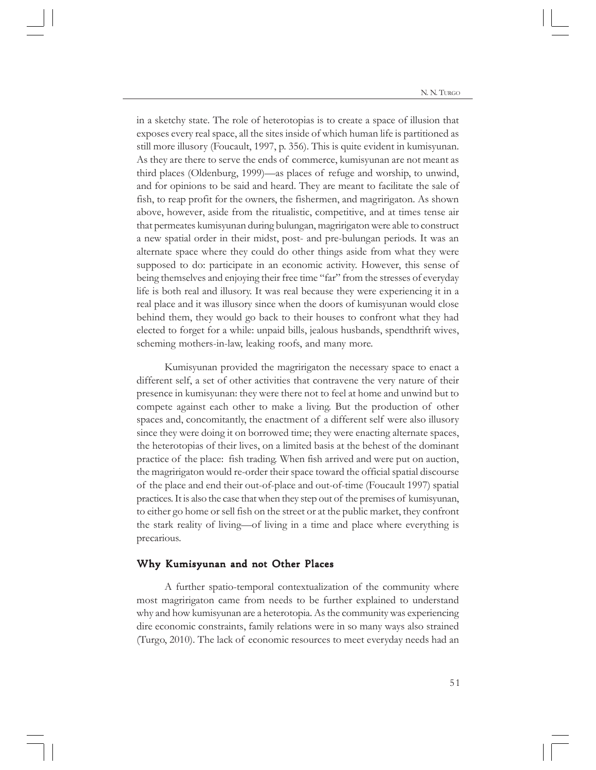in a sketchy state. The role of heterotopias is to create a space of illusion that exposes every real space, all the sites inside of which human life is partitioned as still more illusory (Foucault, 1997, p. 356). This is quite evident in kumisyunan. As they are there to serve the ends of commerce, kumisyunan are not meant as third places (Oldenburg, 1999)—as places of refuge and worship, to unwind, and for opinions to be said and heard. They are meant to facilitate the sale of fish, to reap profit for the owners, the fishermen, and magririgaton. As shown above, however, aside from the ritualistic, competitive, and at times tense air that permeates kumisyunan during bulungan, magririgaton were able to construct a new spatial order in their midst, post- and pre-bulungan periods. It was an alternate space where they could do other things aside from what they were supposed to do: participate in an economic activity. However, this sense of being themselves and enjoying their free time "far" from the stresses of everyday life is both real and illusory. It was real because they were experiencing it in a real place and it was illusory since when the doors of kumisyunan would close behind them, they would go back to their houses to confront what they had elected to forget for a while: unpaid bills, jealous husbands, spendthrift wives, scheming mothers-in-law, leaking roofs, and many more.

Kumisyunan provided the magririgaton the necessary space to enact a different self, a set of other activities that contravene the very nature of their presence in kumisyunan: they were there not to feel at home and unwind but to compete against each other to make a living. But the production of other spaces and, concomitantly, the enactment of a different self were also illusory since they were doing it on borrowed time; they were enacting alternate spaces, the heterotopias of their lives, on a limited basis at the behest of the dominant practice of the place: fish trading. When fish arrived and were put on auction, the magririgaton would re-order their space toward the official spatial discourse of the place and end their out-of-place and out-of-time (Foucault 1997) spatial practices. It is also the case that when they step out of the premises of kumisyunan, to either go home or sell fish on the street or at the public market, they confront the stark reality of living—of living in a time and place where everything is precarious.

#### Why Kumisyunan and not Other Places

A further spatio-temporal contextualization of the community where most magririgaton came from needs to be further explained to understand why and how kumisyunan are a heterotopia. As the community was experiencing dire economic constraints, family relations were in so many ways also strained (Turgo, 2010). The lack of economic resources to meet everyday needs had an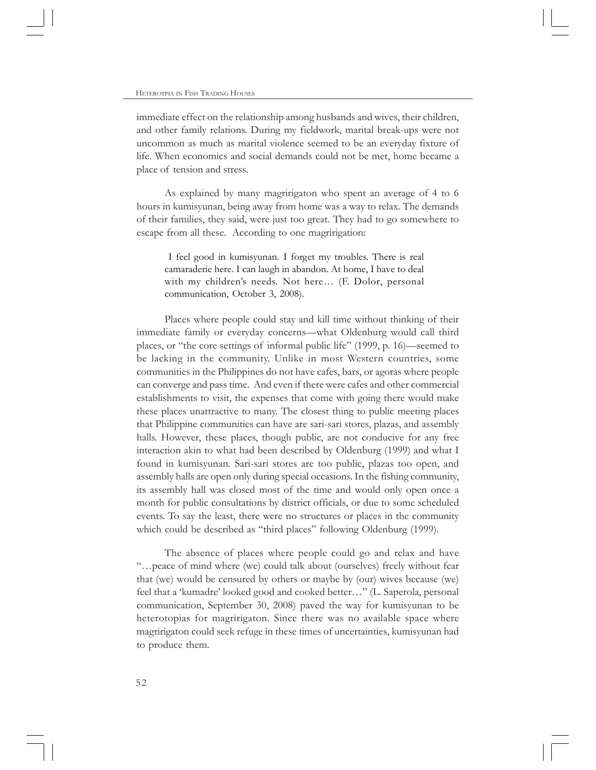immediate effect on the relationship among husbands and wives, their children, and other family relations. During my fieldwork, marital break-ups were not uncommon as much as marital violence seemed to be an everyday fixture of life. When economics and social demands could not be met, home became a place of tension and stress.

As explained by many magririgaton who spent an average of 4 to 6 hours in kumisyunan, being away from home was a way to relax. The demands of their families, they said, were just too great. They had to go somewhere to escape from all these. According to one magririgation:

 I feel good in kumisyunan. I forget my troubles. There is real camaraderie here. I can laugh in abandon. At home, I have to deal with my children's needs. Not here… (F. Dolor, personal communication, October 3, 2008).

Places where people could stay and kill time without thinking of their immediate family or everyday concerns—what Oldenburg would call third places, or "the core settings of informal public life" (1999, p. 16)—seemed to be lacking in the community. Unlike in most Western countries, some communities in the Philippines do not have cafes, bars, or agoras where people can converge and pass time. And even if there were cafes and other commercial establishments to visit, the expenses that come with going there would make these places unattractive to many. The closest thing to public meeting places that Philippine communities can have are sari-sari stores, plazas, and assembly halls. However, these places, though public, are not conducive for any free interaction akin to what had been described by Oldenburg (1999) and what I found in kumisyunan. Sari-sari stores are too public, plazas too open, and assembly halls are open only during special occasions. In the fishing community, its assembly hall was closed most of the time and would only open once a month for public consultations by district officials, or due to some scheduled events. To say the least, there were no structures or places in the community which could be described as "third places" following Oldenburg (1999).

The absence of places where people could go and relax and have "…peace of mind where (we) could talk about (ourselves) freely without fear that (we) would be censured by others or maybe by (our) wives because (we) feel that a 'kumadre' looked good and cooked better…" (L. Saperola, personal communication, September 30, 2008) paved the way for kumisyunan to be heterotopias for magririgaton. Since there was no available space where magririgaton could seek refuge in these times of uncertainties, kumisyunan had to produce them.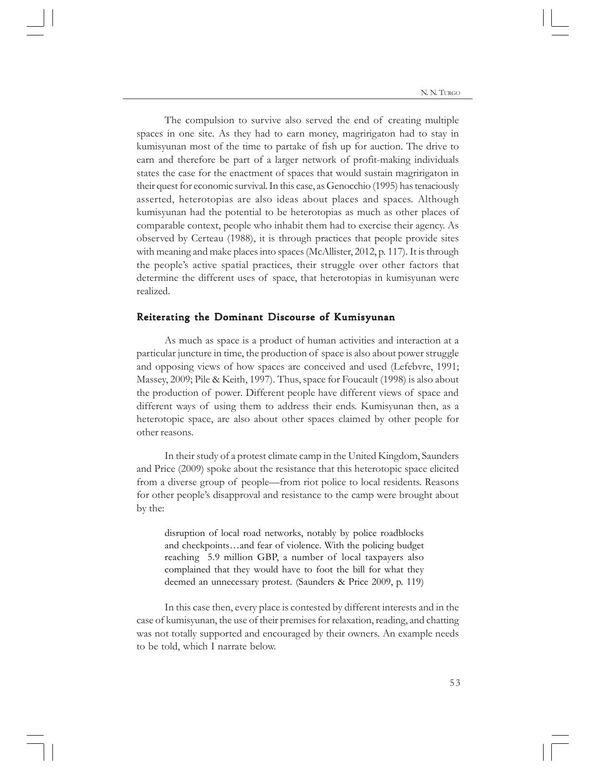The compulsion to survive also served the end of creating multiple spaces in one site. As they had to earn money, magririgaton had to stay in kumisyunan most of the time to partake of fish up for auction. The drive to earn and therefore be part of a larger network of profit-making individuals states the case for the enactment of spaces that would sustain magririgaton in their quest for economic survival. In this case, as Genocchio (1995) has tenaciously asserted, heterotopias are also ideas about places and spaces. Although kumisyunan had the potential to be heterotopias as much as other places of comparable context, people who inhabit them had to exercise their agency. As observed by Certeau (1988), it is through practices that people provide sites with meaning and make places into spaces (McAllister, 2012, p. 117). It is through the people's active spatial practices, their struggle over other factors that determine the different uses of space, that heterotopias in kumisyunan were realized.

#### Reiterating the Dominant Discourse of Kumisyunan

As much as space is a product of human activities and interaction at a particular juncture in time, the production of space is also about power struggle and opposing views of how spaces are conceived and used (Lefebvre, 1991; Massey, 2009; Pile & Keith, 1997). Thus, space for Foucault (1998) is also about the production of power. Different people have different views of space and different ways of using them to address their ends. Kumisyunan then, as a heterotopic space, are also about other spaces claimed by other people for other reasons.

In their study of a protest climate camp in the United Kingdom, Saunders and Price (2009) spoke about the resistance that this heterotopic space elicited from a diverse group of people—from riot police to local residents. Reasons for other people's disapproval and resistance to the camp were brought about by the:

disruption of local road networks, notably by police roadblocks and checkpoints…and fear of violence. With the policing budget reaching 5.9 million GBP, a number of local taxpayers also complained that they would have to foot the bill for what they deemed an unnecessary protest. (Saunders & Price 2009, p. 119)

In this case then, every place is contested by different interests and in the case of kumisyunan, the use of their premises for relaxation, reading, and chatting was not totally supported and encouraged by their owners. An example needs to be told, which I narrate below.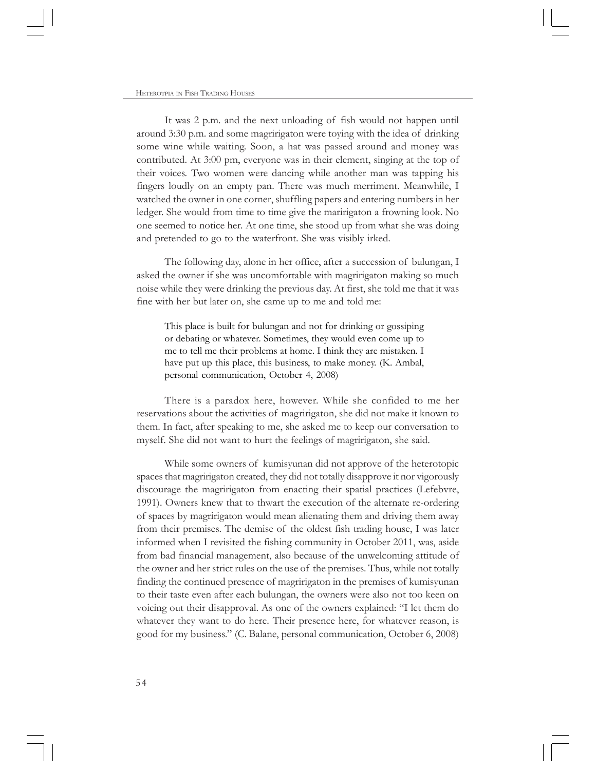It was 2 p.m. and the next unloading of fish would not happen until around 3:30 p.m. and some magririgaton were toying with the idea of drinking some wine while waiting. Soon, a hat was passed around and money was contributed. At 3:00 pm, everyone was in their element, singing at the top of their voices. Two women were dancing while another man was tapping his fingers loudly on an empty pan. There was much merriment. Meanwhile, I watched the owner in one corner, shuffling papers and entering numbers in her ledger. She would from time to time give the maririgaton a frowning look. No one seemed to notice her. At one time, she stood up from what she was doing and pretended to go to the waterfront. She was visibly irked.

The following day, alone in her office, after a succession of bulungan, I asked the owner if she was uncomfortable with magririgaton making so much noise while they were drinking the previous day. At first, she told me that it was fine with her but later on, she came up to me and told me:

This place is built for bulungan and not for drinking or gossiping or debating or whatever. Sometimes, they would even come up to me to tell me their problems at home. I think they are mistaken. I have put up this place, this business, to make money. (K. Ambal, personal communication, October 4, 2008)

There is a paradox here, however. While she confided to me her reservations about the activities of magririgaton, she did not make it known to them. In fact, after speaking to me, she asked me to keep our conversation to myself. She did not want to hurt the feelings of magririgaton, she said.

While some owners of kumisyunan did not approve of the heterotopic spaces that magririgaton created, they did not totally disapprove it nor vigorously discourage the magririgaton from enacting their spatial practices (Lefebvre, 1991). Owners knew that to thwart the execution of the alternate re-ordering of spaces by magririgaton would mean alienating them and driving them away from their premises. The demise of the oldest fish trading house, I was later informed when I revisited the fishing community in October 2011, was, aside from bad financial management, also because of the unwelcoming attitude of the owner and her strict rules on the use of the premises. Thus, while not totally finding the continued presence of magririgaton in the premises of kumisyunan to their taste even after each bulungan, the owners were also not too keen on voicing out their disapproval. As one of the owners explained: "I let them do whatever they want to do here. Their presence here, for whatever reason, is good for my business." (C. Balane, personal communication, October 6, 2008)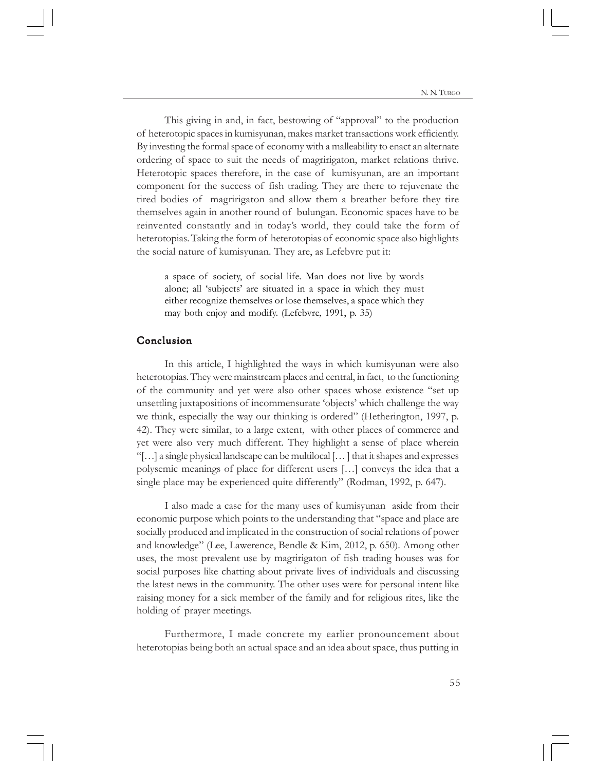This giving in and, in fact, bestowing of "approval" to the production of heterotopic spaces in kumisyunan, makes market transactions work efficiently. By investing the formal space of economy with a malleability to enact an alternate ordering of space to suit the needs of magririgaton, market relations thrive. Heterotopic spaces therefore, in the case of kumisyunan, are an important component for the success of fish trading. They are there to rejuvenate the tired bodies of magririgaton and allow them a breather before they tire themselves again in another round of bulungan. Economic spaces have to be reinvented constantly and in today's world, they could take the form of heterotopias. Taking the form of heterotopias of economic space also highlights the social nature of kumisyunan. They are, as Lefebvre put it:

a space of society, of social life. Man does not live by words alone; all 'subjects' are situated in a space in which they must either recognize themselves or lose themselves, a space which they may both enjoy and modify. (Lefebvre, 1991, p. 35)

## Conclusion

In this article, I highlighted the ways in which kumisyunan were also heterotopias. They were mainstream places and central, in fact, to the functioning of the community and yet were also other spaces whose existence "set up unsettling juxtapositions of incommensurate 'objects' which challenge the way we think, especially the way our thinking is ordered" (Hetherington, 1997, p. 42). They were similar, to a large extent, with other places of commerce and yet were also very much different. They highlight a sense of place wherein "[…] a single physical landscape can be multilocal [… ] that it shapes and expresses polysemic meanings of place for different users […] conveys the idea that a single place may be experienced quite differently" (Rodman, 1992, p. 647).

I also made a case for the many uses of kumisyunan aside from their economic purpose which points to the understanding that "space and place are socially produced and implicated in the construction of social relations of power and knowledge" (Lee, Lawerence, Bendle & Kim, 2012, p. 650). Among other uses, the most prevalent use by magririgaton of fish trading houses was for social purposes like chatting about private lives of individuals and discussing the latest news in the community. The other uses were for personal intent like raising money for a sick member of the family and for religious rites, like the holding of prayer meetings.

Furthermore, I made concrete my earlier pronouncement about heterotopias being both an actual space and an idea about space, thus putting in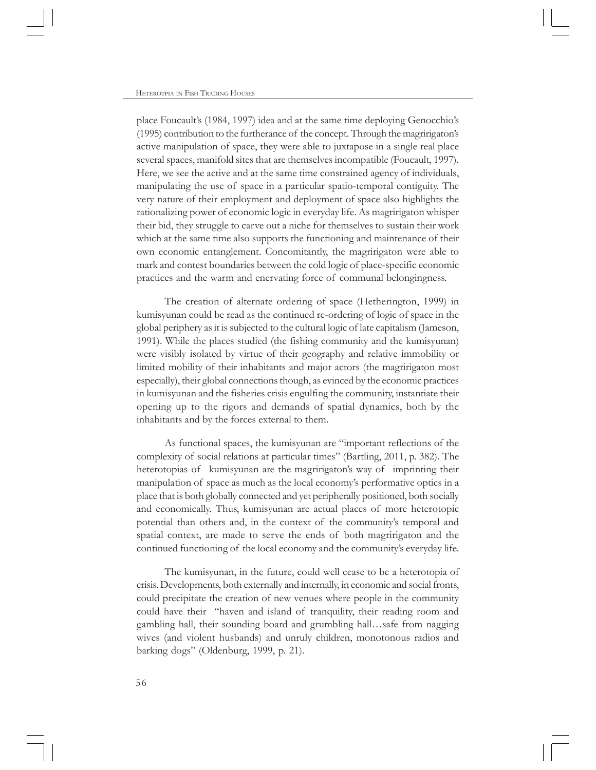place Foucault's (1984, 1997) idea and at the same time deploying Genocchio's (1995) contribution to the furtherance of the concept. Through the magririgaton's active manipulation of space, they were able to juxtapose in a single real place several spaces, manifold sites that are themselves incompatible (Foucault, 1997). Here, we see the active and at the same time constrained agency of individuals, manipulating the use of space in a particular spatio-temporal contiguity. The very nature of their employment and deployment of space also highlights the rationalizing power of economic logic in everyday life. As magririgaton whisper their bid, they struggle to carve out a niche for themselves to sustain their work which at the same time also supports the functioning and maintenance of their own economic entanglement. Concomitantly, the magririgaton were able to mark and contest boundaries between the cold logic of place-specific economic practices and the warm and enervating force of communal belongingness.

The creation of alternate ordering of space (Hetherington, 1999) in kumisyunan could be read as the continued re-ordering of logic of space in the global periphery as it is subjected to the cultural logic of late capitalism (Jameson, 1991). While the places studied (the fishing community and the kumisyunan) were visibly isolated by virtue of their geography and relative immobility or limited mobility of their inhabitants and major actors (the magririgaton most especially), their global connections though, as evinced by the economic practices in kumisyunan and the fisheries crisis engulfing the community, instantiate their opening up to the rigors and demands of spatial dynamics, both by the inhabitants and by the forces external to them.

As functional spaces, the kumisyunan are "important reflections of the complexity of social relations at particular times" (Bartling, 2011, p. 382). The heterotopias of kumisyunan are the magririgaton's way of imprinting their manipulation of space as much as the local economy's performative optics in a place that is both globally connected and yet peripherally positioned, both socially and economically. Thus, kumisyunan are actual places of more heterotopic potential than others and, in the context of the community's temporal and spatial context, are made to serve the ends of both magririgaton and the continued functioning of the local economy and the community's everyday life.

The kumisyunan, in the future, could well cease to be a heterotopia of crisis. Developments, both externally and internally, in economic and social fronts, could precipitate the creation of new venues where people in the community could have their "haven and island of tranquility, their reading room and gambling hall, their sounding board and grumbling hall…safe from nagging wives (and violent husbands) and unruly children, monotonous radios and barking dogs" (Oldenburg, 1999, p. 21).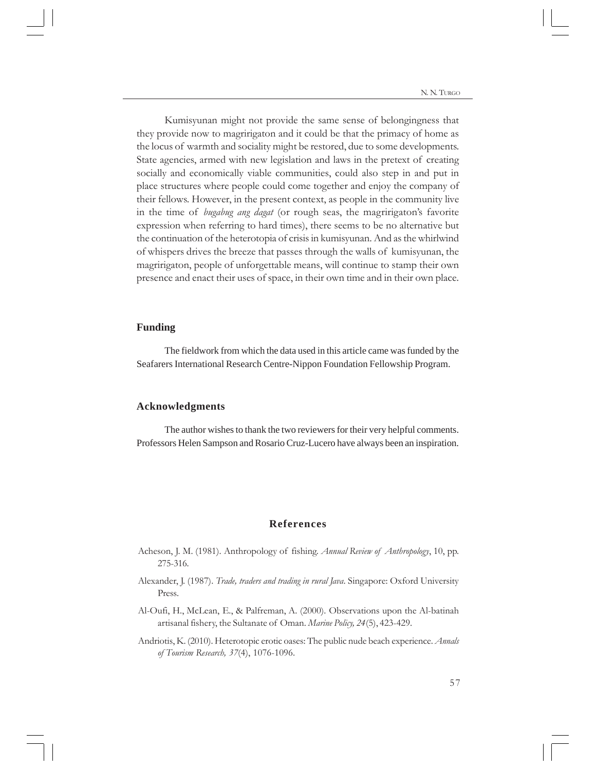N. N. TURGO

Kumisyunan might not provide the same sense of belongingness that they provide now to magririgaton and it could be that the primacy of home as the locus of warmth and sociality might be restored, due to some developments. State agencies, armed with new legislation and laws in the pretext of creating socially and economically viable communities, could also step in and put in place structures where people could come together and enjoy the company of their fellows. However, in the present context, as people in the community live in the time of *bugabug ang dagat* (or rough seas, the magririgaton's favorite expression when referring to hard times), there seems to be no alternative but the continuation of the heterotopia of crisis in kumisyunan. And as the whirlwind of whispers drives the breeze that passes through the walls of kumisyunan, the magririgaton, people of unforgettable means, will continue to stamp their own presence and enact their uses of space, in their own time and in their own place.

#### **Funding**

The fieldwork from which the data used in this article came was funded by the Seafarers International Research Centre-Nippon Foundation Fellowship Program.

# **Acknowledgments**

The author wishes to thank the two reviewers for their very helpful comments. Professors Helen Sampson and Rosario Cruz-Lucero have always been an inspiration.

# **References**

- Acheson, J. M. (1981). Anthropology of fishing. *Annual Review of Anthropology*, 10, pp. 275-316.
- Alexander, J. (1987). *Trade, traders and trading in rural Java*. Singapore: Oxford University Press.
- Al-Oufi, H., McLean, E., & Palfreman, A. (2000). Observations upon the Al-batinah artisanal fishery, the Sultanate of Oman. *Marine Policy, 24*(5), 423-429.
- Andriotis, K. (2010). Heterotopic erotic oases: The public nude beach experience. *Annals of Tourism Research, 37*(4), 1076-1096.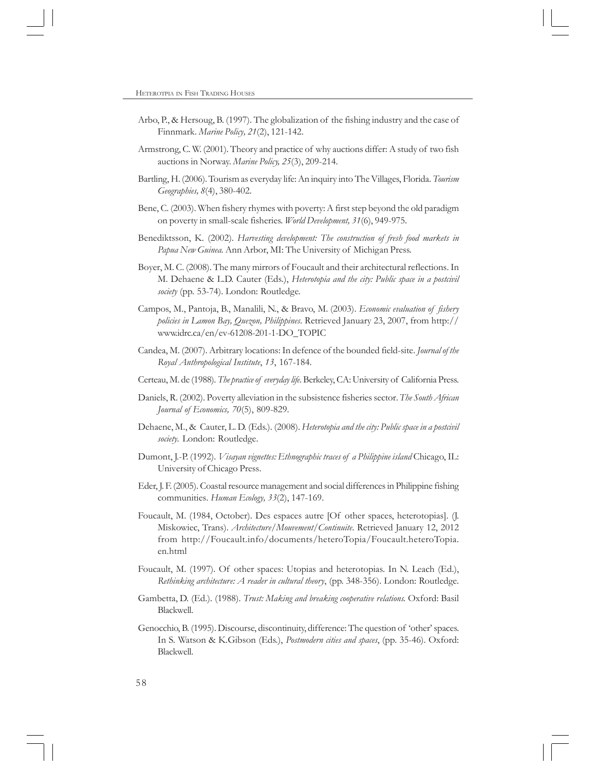- Arbo, P., & Hersoug, B. (1997). The globalization of the fishing industry and the case of Finnmark. *Marine Policy, 21*(2), 121-142.
- Armstrong, C. W. (2001). Theory and practice of why auctions differ: A study of two fish auctions in Norway. *Marine Policy, 25*(3), 209-214.
- Bartling, H. (2006). Tourism as everyday life: An inquiry into The Villages, Florida. *Tourism Geographies, 8*(4), 380-402.
- Bene, C. (2003). When fishery rhymes with poverty: A first step beyond the old paradigm on poverty in small-scale fisheries. *World Development, 31*(6), 949-975.
- Benediktsson, K. (2002). *Harvesting development: The construction of fresh food markets in Papua New Guinea.* Ann Arbor, MI: The University of Michigan Press.
- Boyer, M. C. (2008). The many mirrors of Foucault and their architectural reflections. In M. Dehaene & L.D. Cauter (Eds.), *Heterotopia and the city: Public space in a postcivil society* (pp. 53-74). London: Routledge.
- Campos, M., Pantoja, B., Manalili, N., & Bravo, M. (2003). *Economic evaluation of fishery policies in Lamon Bay, Quezon, Philippines*. Retrieved January 23, 2007, from http:// www.idrc.ca/en/ev-61208-201-1-DO\_TOPIC
- Candea, M. (2007). Arbitrary locations: In defence of the bounded field-site. *Journal of the Royal Anthropological Institute*, *13*, 167-184.
- Certeau, M. de (1988). *The practice of everyday life*. Berkeley, CA: University of California Press.
- Daniels, R. (2002). Poverty alleviation in the subsistence fisheries sector. *The South African Journal of Economics, 70*(5), 809-829.
- Dehaene, M., & Cauter, L. D. (Eds.). (2008). *Heterotopia and the city: Public space in a postcivil society.* London: Routledge.
- Dumont, J.-P. (1992). *Visayan vignettes: Ethnographic traces of a Philippine island* Chicago, IL: University of Chicago Press.
- Eder, J. F. (2005). Coastal resource management and social differences in Philippine fishing communities. *Human Ecology, 33*(2), 147-169.
- Foucault, M. (1984, October). Des espaces autre [Of other spaces, heterotopias]. (J. Miskowiec, Trans). *Architecture/Mouvement/Continuite*. Retrieved January 12, 2012 from http://Foucault.info/documents/heteroTopia/Foucault.heteroTopia. en.html
- Foucault, M. (1997). Of other spaces: Utopias and heterotopias. In N. Leach (Ed.), *Rethinking architecture: A reader in cultural theory*, (pp. 348-356). London: Routledge.
- Gambetta, D. (Ed.). (1988). *Trust: Making and breaking cooperative relations.* Oxford: Basil Blackwell.
- Genocchio, B. (1995). Discourse, discontinuity, difference: The question of 'other' spaces. In S. Watson & K.Gibson (Eds.), *Postmodern cities and spaces*, (pp. 35-46). Oxford: Blackwell.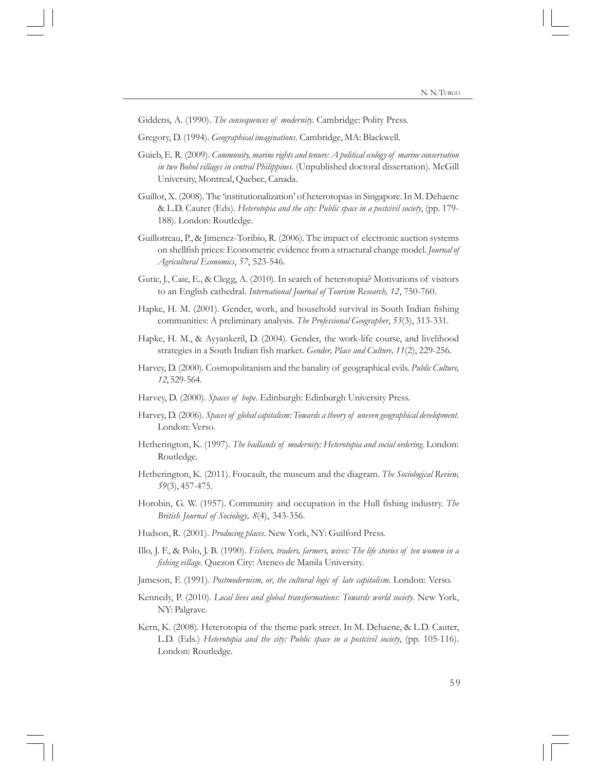Giddens, A. (1990). *The consequences of modernity*. Cambridge: Polity Press.

- Gregory, D. (1994). *Geographical imaginations*. Cambridge, MA: Blackwell.
- Guieb, E. R. (2009). *Community, marine rights and tenure: A political ecology of marine conservation in two Bohol villages in central Philippines.* (Unpublished doctoral dissertation). McGill University, Montreal, Quebec, Canada.
- Guillot, X. (2008). The 'institutionalization' of heterotopias in Singapore. In M. Dehaene & L.D. Cauter (Eds). *Heterotopia and the city: Public space in a postcivil society*, (pp. 179- 188). London: Routledge.
- Guillotreau, P., & Jimenez-Toribio, R. (2006). The impact of electronic auction systems on shellfish prices: Econometric evidence from a structural change model. *Journal of Agricultural Economics*, *57*, 523-546.
- Gutic, J., Caie, E., & Clegg, A. (2010). In search of heterotopia? Motivations of visitors to an English cathedral. *International Journal of Tourism Research, 12*, 750-760.
- Hapke, H. M. (2001). Gender, work, and household survival in South Indian fishing communities: A preliminary analysis. *The Professional Geographer*, *53*(3), 313-331.
- Hapke, H. M., & Ayyankeril, D. (2004). Gender, the work-life course, and livelihood strategies in a South Indian fish market. *Gender, Place and Culture, 11*(2), 229-256.
- Harvey, D. (2000). Cosmopolitanism and the banality of geographical evils. *Public Culture, 12*, 529-564.
- Harvey, D. (2000). *Spaces of hope*. Edinburgh: Edinburgh University Press.
- Harvey, D. (2006). *Spaces of global capitalism: Towards a theory of uneven geographical development*. London: Verso.
- Hetherington, K. (1997). *The badlands of modernity: Heterotopia and social ordering*. London: Routledge.
- Hetherington, K. (2011). Foucault, the museum and the diagram. *The Sociological Review, 59*(3), 457-475.
- Horobin, G. W. (1957). Community and occupation in the Hull fishing industry. *The British Journal of Sociology, 8*(4), 343-356.
- Hudson, R. (2001). *Producing places*. New York, NY: Guilford Press.
- Illo, J. F., & Polo, J. B. (1990). *Fishers, traders, farmers, wives: The life stories of ten women in a fishing village.* Quezon City: Ateneo de Manila University.
- Jameson, F. (1991). *Postmodernism, or, the cultural logic of late capitalism*. London: Verso.
- Kennedy, P. (2010). *Local lives and global transformations: Towards world society*. New York, NY: Palgrave.
- Kern, K. (2008). Heterotopia of the theme park street. In M. Dehaene, & L.D. Cauter, L.D. (Eds.) *Heterotopia and the city: Public space in a postcivil society*, (pp. 105-116). London: Routledge.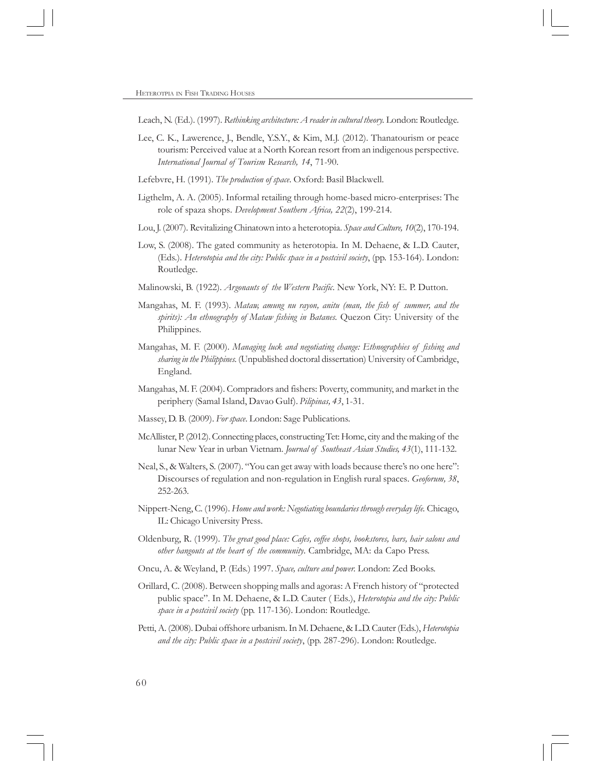Leach, N. (Ed.). (1997). *Rethinking architecture: A reader in cultural theory.* London: Routledge.

- Lee, C. K., Lawerence, J., Bendle, Y.S.Y., & Kim, M.J. (2012). Thanatourism or peace tourism: Perceived value at a North Korean resort from an indigenous perspective. *International Journal of Tourism Research, 14*, 71-90.
- Lefebvre, H. (1991). *The production of space*. Oxford: Basil Blackwell.
- Ligthelm, A. A. (2005). Informal retailing through home-based micro-enterprises: The role of spaza shops. *Development Southern Africa, 22*(2), 199-214.
- Lou, J. (2007). Revitalizing Chinatown into a heterotopia. *Space and Culture, 10*(2), 170-194.
- Low, S. (2008). The gated community as heterotopia. In M. Dehaene, & L.D. Cauter, (Eds.). *Heterotopia and the city: Public space in a postcivil society*, (pp. 153-164). London: Routledge.
- Malinowski, B. (1922). *Argonauts of the Western Pacific*. New York, NY: E. P. Dutton.
- Mangahas, M. F. (1993). *Mataw, amung nu rayon, anitu (man, the fish of summer, and the spirits): An ethnography of Mataw fishing in Batanes.* Quezon City: University of the Philippines.
- Mangahas, M. F. (2000). *Managing luck and negotiating change: Ethnographies of fishing and sharing in the Philippines.* (Unpublished doctoral dissertation) University of Cambridge, England.
- Mangahas, M. F. (2004). Compradors and fishers: Poverty, community, and market in the periphery (Samal Island, Davao Gulf). *Pilipinas, 43*, 1-31.
- Massey, D. B. (2009). *For space*. London: Sage Publications.
- McAllister, P. (2012). Connecting places, constructing Tet: Home, city and the making of the lunar New Year in urban Vietnam. *Journal of Southeast Asian Studies, 43*(1), 111-132.
- Neal, S., & Walters, S. (2007). "You can get away with loads because there's no one here": Discourses of regulation and non-regulation in English rural spaces. *Geoforum, 38*, 252-263.
- Nippert-Neng, C. (1996). *Home and work: Negotiating boundaries through everyday life.* Chicago, IL: Chicago University Press.
- Oldenburg, R. (1999). *The great good place: Cafes, coffee shops, bookstores, bars, hair salons and other hangouts at the heart of the community*. Cambridge, MA: da Capo Press.
- Oncu, A. & Weyland, P. (Eds.) 1997. *Space, culture and power.* London: Zed Books.
- Orillard, C. (2008). Between shopping malls and agoras: A French history of "protected public space". In M. Dehaene, & L.D. Cauter ( Eds.), *Heterotopia and the city: Public space in a postcivil society* (pp. 117-136). London: Routledge.
- Petti, A. (2008). Dubai offshore urbanism. In M. Dehaene, & L.D. Cauter (Eds.), *Heterotopia and the city: Public space in a postcivil society*, (pp. 287-296). London: Routledge.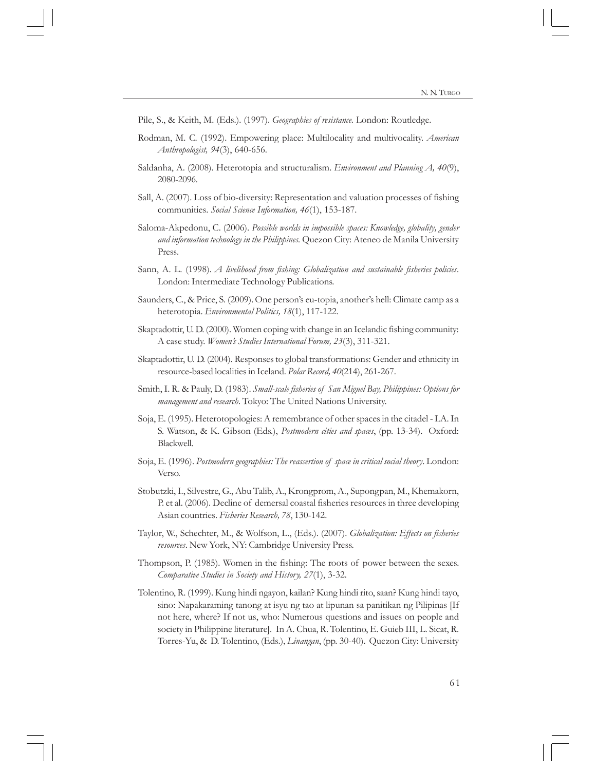- Pile, S., & Keith, M. (Eds.). (1997). *Geographies of resistance.* London: Routledge.
- Rodman, M. C. (1992). Empowering place: Multilocality and multivocality. *American Anthropologist, 94*(3), 640-656.
- Saldanha, A. (2008). Heterotopia and structuralism. *Environment and Planning A, 40*(9), 2080-2096.
- Sall, A. (2007). Loss of bio-diversity: Representation and valuation processes of fishing communities. *Social Science Information, 46*(1), 153-187.
- Saloma-Akpedonu, C. (2006). *Possible worlds in impossible spaces: Knowledge, globality, gender and information technology in the Philippines.* Quezon City: Ateneo de Manila University Press.
- Sann, A. L. (1998). *A livelihood from fishing: Globalization and sustainable fisheries policies*. London: Intermediate Technology Publications.
- Saunders, C., & Price, S. (2009). One person's eu-topia, another's hell: Climate camp as a heterotopia. *Environmental Politics, 18*(1), 117-122.
- Skaptadottir, U. D. (2000). Women coping with change in an Icelandic fishing community: A case study. *Women's Studies International Forum, 23*(3), 311-321.
- Skaptadottir, U. D. (2004). Responses to global transformations: Gender and ethnicity in resource-based localities in Iceland. *Polar Record, 40*(214), 261-267.
- Smith, I. R. & Pauly, D. (1983). *Small-scale fisheries of San Miguel Bay, Philippines: Options for management and research*. Tokyo: The United Nations University.
- Soja, E. (1995). Heterotopologies: A remembrance of other spaces in the citadel LA. In S. Watson, & K. Gibson (Eds.), *Postmodern cities and spaces*, (pp. 13-34). Oxford: Blackwell.
- Soja, E. (1996). *Postmodern geographies: The reassertion of space in critical social theory*. London: Verso.
- Stobutzki, I., Silvestre, G., Abu Talib, A., Krongprom, A., Supongpan, M., Khemakorn, P. et al. (2006). Decline of demersal coastal fisheries resources in three developing Asian countries. *Fisheries Research, 78*, 130-142.
- Taylor, W., Schechter, M., & Wolfson, L., (Eds.). (2007). *Globalization: Effects on fisheries resources*. New York, NY: Cambridge University Press.
- Thompson, P. (1985). Women in the fishing: The roots of power between the sexes. *Comparative Studies in Society and History, 27*(1), 3-32.
- Tolentino, R. (1999). Kung hindi ngayon, kailan? Kung hindi rito, saan? Kung hindi tayo, sino: Napakaraming tanong at isyu ng tao at lipunan sa panitikan ng Pilipinas [If not here, where? If not us, who: Numerous questions and issues on people and society in Philippine literature]. In A. Chua, R. Tolentino, E. Guieb III, L. Sicat, R. Torres-Yu, & D. Tolentino, (Eds.), *Linangan*, (pp. 30-40). Quezon City: University